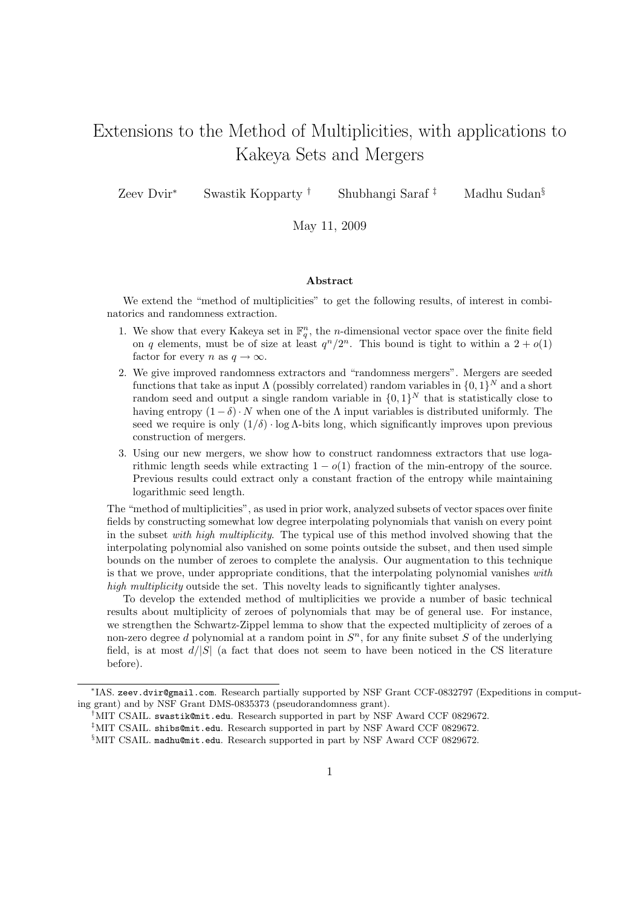# Extensions to the Method of Multiplicities, with applications to Kakeya Sets and Mergers

Zeev Dvir<sup>∗</sup> Swastik Kopparty † Shubhangi Saraf ‡ Madhu Sudan§

May 11, 2009

#### Abstract

We extend the "method of multiplicities" to get the following results, of interest in combinatorics and randomness extraction.

- 1. We show that every Kakeya set in  $\mathbb{F}_q^n$ , the *n*-dimensional vector space over the finite field on q elements, must be of size at least  $q^n/2^n$ . This bound is tight to within a  $2 + o(1)$ factor for every n as  $q \to \infty$ .
- 2. We give improved randomness extractors and "randomness mergers". Mergers are seeded functions that take as input  $\Lambda$  (possibly correlated) random variables in  $\{0,1\}^N$  and a short random seed and output a single random variable in  $\{0,1\}^N$  that is statistically close to having entropy  $(1 - \delta) \cdot N$  when one of the  $\Lambda$  input variables is distributed uniformly. The seed we require is only  $(1/\delta) \cdot \log \Lambda$ -bits long, which significantly improves upon previous construction of mergers.
- 3. Using our new mergers, we show how to construct randomness extractors that use logarithmic length seeds while extracting  $1 - o(1)$  fraction of the min-entropy of the source. Previous results could extract only a constant fraction of the entropy while maintaining logarithmic seed length.

The "method of multiplicities", as used in prior work, analyzed subsets of vector spaces over finite fields by constructing somewhat low degree interpolating polynomials that vanish on every point in the subset with high multiplicity. The typical use of this method involved showing that the interpolating polynomial also vanished on some points outside the subset, and then used simple bounds on the number of zeroes to complete the analysis. Our augmentation to this technique is that we prove, under appropriate conditions, that the interpolating polynomial vanishes with high multiplicity outside the set. This novelty leads to significantly tighter analyses.

To develop the extended method of multiplicities we provide a number of basic technical results about multiplicity of zeroes of polynomials that may be of general use. For instance, we strengthen the Schwartz-Zippel lemma to show that the expected multiplicity of zeroes of a non-zero degree d polynomial at a random point in  $S<sup>n</sup>$ , for any finite subset S of the underlying field, is at most  $d/|S|$  (a fact that does not seem to have been noticed in the CS literature before).

<sup>∗</sup> IAS. zeev.dvir@gmail.com. Research partially supported by NSF Grant CCF-0832797 (Expeditions in computing grant) and by NSF Grant DMS-0835373 (pseudorandomness grant).

<sup>†</sup>MIT CSAIL. swastik@mit.edu. Research supported in part by NSF Award CCF 0829672.

<sup>‡</sup>MIT CSAIL. shibs@mit.edu. Research supported in part by NSF Award CCF 0829672.

<sup>§</sup>MIT CSAIL. madhu@mit.edu. Research supported in part by NSF Award CCF 0829672.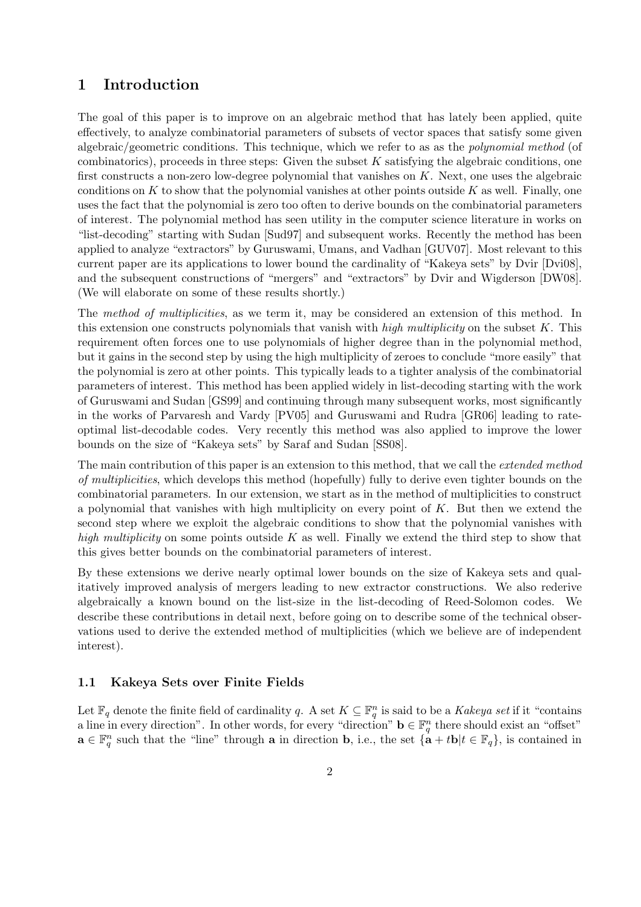# 1 Introduction

The goal of this paper is to improve on an algebraic method that has lately been applied, quite effectively, to analyze combinatorial parameters of subsets of vector spaces that satisfy some given algebraic/geometric conditions. This technique, which we refer to as as the polynomial method (of combinatorics), proceeds in three steps: Given the subset  $K$  satisfying the algebraic conditions, one first constructs a non-zero low-degree polynomial that vanishes on K. Next, one uses the algebraic conditions on  $K$  to show that the polynomial vanishes at other points outside  $K$  as well. Finally, one uses the fact that the polynomial is zero too often to derive bounds on the combinatorial parameters of interest. The polynomial method has seen utility in the computer science literature in works on "list-decoding" starting with Sudan [Sud97] and subsequent works. Recently the method has been applied to analyze "extractors" by Guruswami, Umans, and Vadhan [GUV07]. Most relevant to this current paper are its applications to lower bound the cardinality of "Kakeya sets" by Dvir [Dvi08], and the subsequent constructions of "mergers" and "extractors" by Dvir and Wigderson [DW08]. (We will elaborate on some of these results shortly.)

The method of multiplicities, as we term it, may be considered an extension of this method. In this extension one constructs polynomials that vanish with high multiplicity on the subset  $K$ . This requirement often forces one to use polynomials of higher degree than in the polynomial method, but it gains in the second step by using the high multiplicity of zeroes to conclude "more easily" that the polynomial is zero at other points. This typically leads to a tighter analysis of the combinatorial parameters of interest. This method has been applied widely in list-decoding starting with the work of Guruswami and Sudan [GS99] and continuing through many subsequent works, most significantly in the works of Parvaresh and Vardy [PV05] and Guruswami and Rudra [GR06] leading to rateoptimal list-decodable codes. Very recently this method was also applied to improve the lower bounds on the size of "Kakeya sets" by Saraf and Sudan [SS08].

The main contribution of this paper is an extension to this method, that we call the *extended method* of multiplicities, which develops this method (hopefully) fully to derive even tighter bounds on the combinatorial parameters. In our extension, we start as in the method of multiplicities to construct a polynomial that vanishes with high multiplicity on every point of  $K$ . But then we extend the second step where we exploit the algebraic conditions to show that the polynomial vanishes with high multiplicity on some points outside K as well. Finally we extend the third step to show that this gives better bounds on the combinatorial parameters of interest.

By these extensions we derive nearly optimal lower bounds on the size of Kakeya sets and qualitatively improved analysis of mergers leading to new extractor constructions. We also rederive algebraically a known bound on the list-size in the list-decoding of Reed-Solomon codes. We describe these contributions in detail next, before going on to describe some of the technical observations used to derive the extended method of multiplicities (which we believe are of independent interest).

### 1.1 Kakeya Sets over Finite Fields

Let  $\mathbb{F}_q$  denote the finite field of cardinality q. A set  $K \subseteq \mathbb{F}_q^n$  is said to be a Kakeya set if it "contains" a line in every direction". In other words, for every "direction"  $\mathbf{b} \in \mathbb{F}_q^n$  there should exist an "offset"  $\mathbf{a} \in \mathbb{F}_q^n$  such that the "line" through  $\mathbf{a}$  in direction  $\mathbf{b}$ , i.e., the set  $\{\mathbf{a} + t\mathbf{b} | t \in \mathbb{F}_q\}$ , is contained in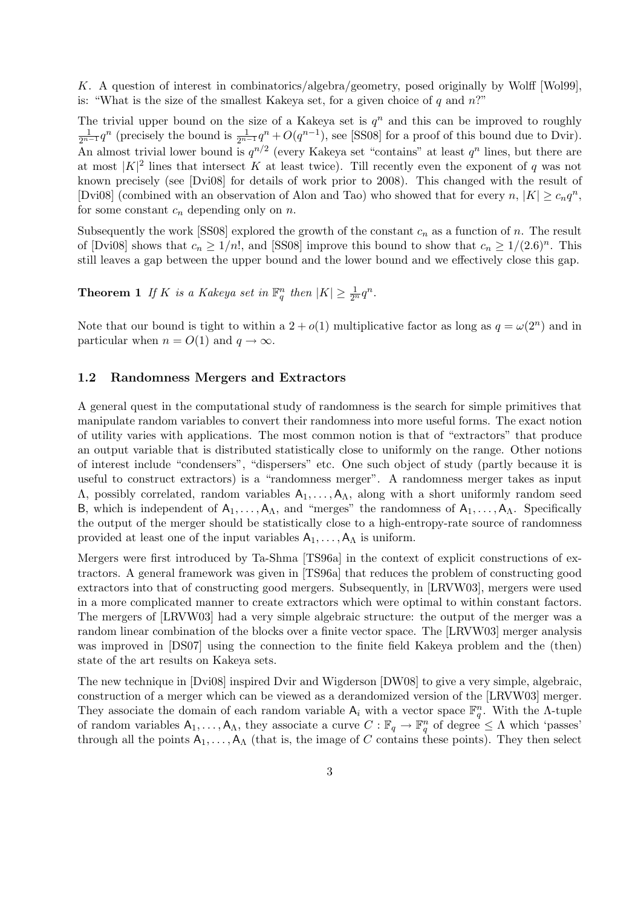K. A question of interest in combinatorics/algebra/geometry, posed originally by Wolff [Wol99], is: "What is the size of the smallest Kakeya set, for a given choice of q and  $n$ ."

The trivial upper bound on the size of a Kakeya set is  $q^n$  and this can be improved to roughly  $\frac{1}{2^{n-1}}q^n$  (precisely the bound is  $\frac{1}{2^{n-1}}q^n + O(q^{n-1})$ , see [SS08] for a proof of this bound due to Dvir). An almost trivial lower bound is  $q^{n/2}$  (every Kakeya set "contains" at least  $q^n$  lines, but there are at most  $|K|^2$  lines that intersect K at least twice). Till recently even the exponent of q was not known precisely (see [Dvi08] for details of work prior to 2008). This changed with the result of [Dvi08] (combined with an observation of Alon and Tao) who showed that for every  $n, |K| \geq c_n q^n$ , for some constant  $c_n$  depending only on n.

Subsequently the work [SS08] explored the growth of the constant  $c_n$  as a function of n. The result of [Dvi08] shows that  $c_n \ge 1/n!$ , and [SS08] improve this bound to show that  $c_n \ge 1/(2.6)^n$ . This still leaves a gap between the upper bound and the lower bound and we effectively close this gap.

**Theorem 1** If K is a Kakeya set in  $\mathbb{F}_q^n$  then  $|K| \geq \frac{1}{2^n} q^n$ .

Note that our bound is tight to within a  $2 + o(1)$  multiplicative factor as long as  $q = \omega(2^n)$  and in particular when  $n = O(1)$  and  $q \to \infty$ .

### 1.2 Randomness Mergers and Extractors

A general quest in the computational study of randomness is the search for simple primitives that manipulate random variables to convert their randomness into more useful forms. The exact notion of utility varies with applications. The most common notion is that of "extractors" that produce an output variable that is distributed statistically close to uniformly on the range. Other notions of interest include "condensers", "dispersers" etc. One such object of study (partly because it is useful to construct extractors) is a "randomness merger". A randomness merger takes as input  $Λ$ , possibly correlated, random variables  $A_1, \ldots, A_\Lambda$ , along with a short uniformly random seed B, which is independent of  $A_1, \ldots, A_\Lambda$ , and "merges" the randomness of  $A_1, \ldots, A_\Lambda$ . Specifically the output of the merger should be statistically close to a high-entropy-rate source of randomness provided at least one of the input variables  $A_1, \ldots, A_{\Lambda}$  is uniform.

Mergers were first introduced by Ta-Shma [TS96a] in the context of explicit constructions of extractors. A general framework was given in [TS96a] that reduces the problem of constructing good extractors into that of constructing good mergers. Subsequently, in [LRVW03], mergers were used in a more complicated manner to create extractors which were optimal to within constant factors. The mergers of [LRVW03] had a very simple algebraic structure: the output of the merger was a random linear combination of the blocks over a finite vector space. The [LRVW03] merger analysis was improved in [DS07] using the connection to the finite field Kakeya problem and the (then) state of the art results on Kakeya sets.

The new technique in [Dvi08] inspired Dvir and Wigderson [DW08] to give a very simple, algebraic, construction of a merger which can be viewed as a derandomized version of the [LRVW03] merger. They associate the domain of each random variable  $A_i$  with a vector space  $\mathbb{F}_q^n$ . With the  $\Lambda$ -tuple of random variables  $A_1, \ldots, A_\Lambda$ , they associate a curve  $C : \mathbb{F}_q \to \mathbb{F}_q^n$  of degree  $\leq \Lambda$  which 'passes' through all the points  $A_1, \ldots, A_\Lambda$  (that is, the image of C contains these points). They then select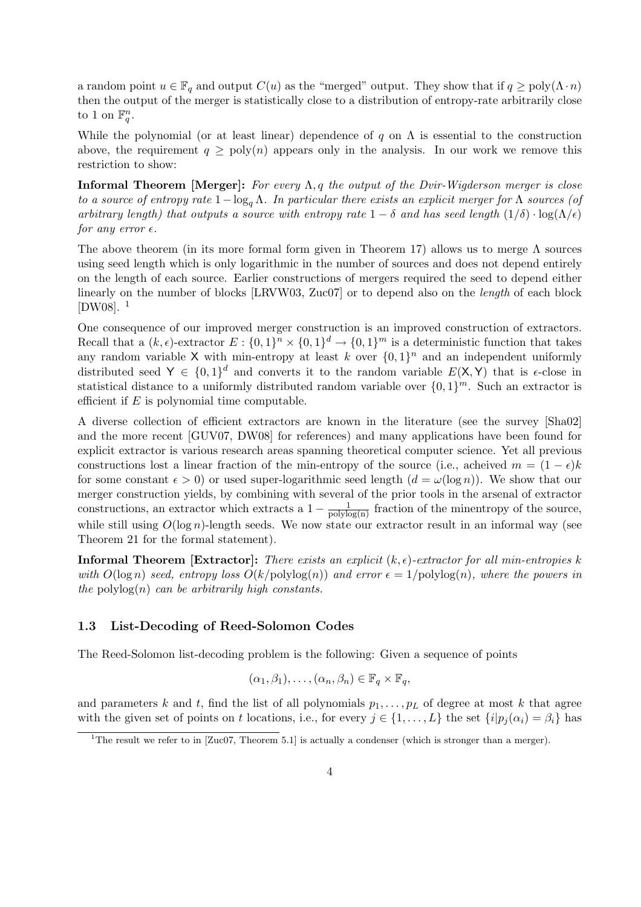a random point  $u \in \mathbb{F}_q$  and output  $C(u)$  as the "merged" output. They show that if  $q \geq \text{poly}(\Lambda \cdot n)$ then the output of the merger is statistically close to a distribution of entropy-rate arbitrarily close to 1 on  $\mathbb{F}_q^n$ .

While the polynomial (or at least linear) dependence of q on  $\Lambda$  is essential to the construction above, the requirement  $q \geq poly(n)$  appears only in the analysis. In our work we remove this restriction to show:

**Informal Theorem [Merger]:** For every  $\Lambda$ , q the output of the Dvir-Wigderson merger is close to a source of entropy rate  $1-\log_a \Lambda$ . In particular there exists an explicit merger for  $\Lambda$  sources (of arbitrary length) that outputs a source with entropy rate  $1 - \delta$  and has seed length  $(1/\delta) \cdot \log(\Lambda/\epsilon)$ for any error  $\epsilon$ .

The above theorem (in its more formal form given in Theorem 17) allows us to merge  $\Lambda$  sources using seed length which is only logarithmic in the number of sources and does not depend entirely on the length of each source. Earlier constructions of mergers required the seed to depend either linearly on the number of blocks [LRVW03, Zuc07] or to depend also on the *length* of each block  $[DW08]$ .<sup>1</sup>

One consequence of our improved merger construction is an improved construction of extractors. Recall that a  $(k, \epsilon)$ -extractor  $E: \{0,1\}^n \times \{0,1\}^d \to \{0,1\}^m$  is a deterministic function that takes any random variable X with min-entropy at least k over  $\{0,1\}^n$  and an independent uniformly distributed seed  $Y \in \{0,1\}^d$  and converts it to the random variable  $E(X, Y)$  that is  $\epsilon$ -close in statistical distance to a uniformly distributed random variable over  $\{0,1\}^m$ . Such an extractor is efficient if  $E$  is polynomial time computable.

A diverse collection of efficient extractors are known in the literature (see the survey [Sha02] and the more recent [GUV07, DW08] for references) and many applications have been found for explicit extractor is various research areas spanning theoretical computer science. Yet all previous constructions lost a linear fraction of the min-entropy of the source (i.e., acheived  $m = (1 - \epsilon)k$ for some constant  $\epsilon > 0$ ) or used super-logarithmic seed length  $(d = \omega(\log n))$ . We show that our merger construction yields, by combining with several of the prior tools in the arsenal of extractor constructions, an extractor which extracts a  $1 - \frac{1}{\text{polylog}(n)}$  fraction of the minentropy of the source, while still using  $O(\log n)$ -length seeds. We now state our extractor result in an informal way (see Theorem 21 for the formal statement).

**Informal Theorem [Extractor]:** There exists an explicit  $(k, \epsilon)$ -extractor for all min-entropies k with  $O(\log n)$  seed, entropy loss  $O(k/\text{polylog}(n))$  and error  $\epsilon = 1/\text{polylog}(n)$ , where the powers in the polylog $(n)$  can be arbitrarily high constants.

### 1.3 List-Decoding of Reed-Solomon Codes

The Reed-Solomon list-decoding problem is the following: Given a sequence of points

$$
(\alpha_1, \beta_1), \ldots, (\alpha_n, \beta_n) \in \mathbb{F}_q \times \mathbb{F}_q,
$$

and parameters k and t, find the list of all polynomials  $p_1, \ldots, p_L$  of degree at most k that agree with the given set of points on t locations, i.e., for every  $j \in \{1, ..., L\}$  the set  $\{i|p_i(\alpha_i) = \beta_i\}$  has

<sup>&</sup>lt;sup>1</sup>The result we refer to in [Zuc07, Theorem 5.1] is actually a condenser (which is stronger than a merger).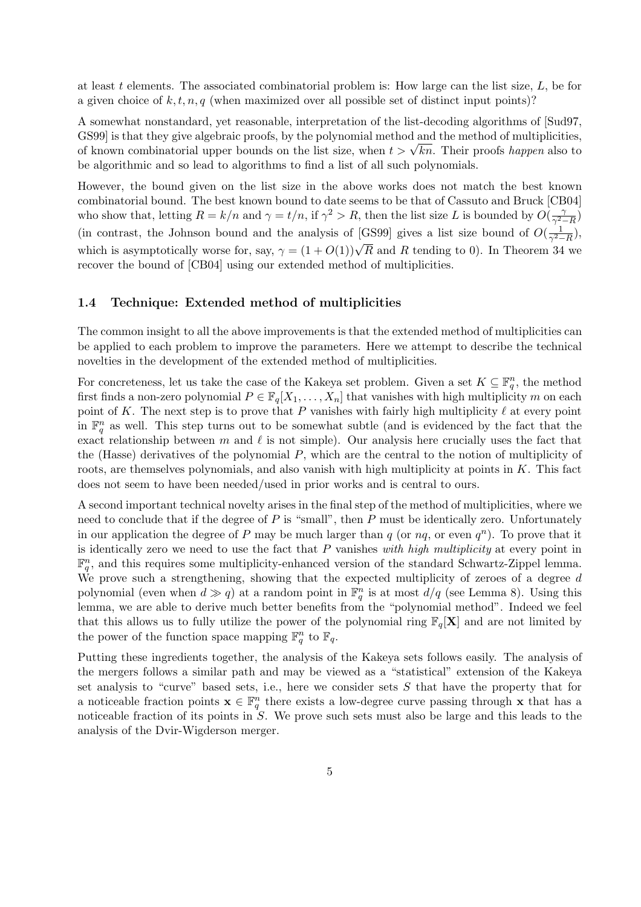at least t elements. The associated combinatorial problem is: How large can the list size,  $L$ , be for a given choice of  $k, t, n, q$  (when maximized over all possible set of distinct input points)?

A somewhat nonstandard, yet reasonable, interpretation of the list-decoding algorithms of [Sud97, GS99] is that they give algebraic proofs, by the polynomial method and the method of multiplicities, GS99] is that they give algebraic proofs, by the polynomial method and the method of multiplicities,<br>of known combinatorial upper bounds on the list size, when  $t > \sqrt{kn}$ . Their proofs *happen* also to be algorithmic and so lead to algorithms to find a list of all such polynomials.

However, the bound given on the list size in the above works does not match the best known combinatorial bound. The best known bound to date seems to be that of Cassuto and Bruck [CB04] who show that, letting  $R = k/n$  and  $\gamma = t/n$ , if  $\gamma^2 > R$ , then the list size L is bounded by  $O(\frac{\gamma}{\sigma^2})$  $\frac{\gamma}{\gamma^2-R}$ (in contrast, the Johnson bound and the analysis of [GS99] gives a list size bound of  $O(\frac{1}{\alpha^2})$  $\frac{1}{\gamma^2-R}$ ), which is asymptotically worse for, say,  $\gamma = (1 + O(1))\sqrt{R}$  and R tending to 0). In Theorem 34 we recover the bound of [CB04] using our extended method of multiplicities.

### 1.4 Technique: Extended method of multiplicities

The common insight to all the above improvements is that the extended method of multiplicities can be applied to each problem to improve the parameters. Here we attempt to describe the technical novelties in the development of the extended method of multiplicities.

For concreteness, let us take the case of the Kakeya set problem. Given a set  $K \subseteq \mathbb{F}_q^n$ , the method first finds a non-zero polynomial  $P \in \mathbb{F}_q[X_1,\ldots,X_n]$  that vanishes with high multiplicity m on each point of K. The next step is to prove that P vanishes with fairly high multiplicity  $\ell$  at every point in  $\mathbb{F}_q^n$  as well. This step turns out to be somewhat subtle (and is evidenced by the fact that the exact relationship between  $m$  and  $\ell$  is not simple). Our analysis here crucially uses the fact that the (Hasse) derivatives of the polynomial P, which are the central to the notion of multiplicity of roots, are themselves polynomials, and also vanish with high multiplicity at points in  $K$ . This fact does not seem to have been needed/used in prior works and is central to ours.

A second important technical novelty arises in the final step of the method of multiplicities, where we need to conclude that if the degree of  $P$  is "small", then  $P$  must be identically zero. Unfortunately in our application the degree of P may be much larger than  $q$  (or  $nq$ , or even  $q^n$ ). To prove that it is identically zero we need to use the fact that  $P$  vanishes with high multiplicity at every point in  $\mathbb{F}_q^n$ , and this requires some multiplicity-enhanced version of the standard Schwartz-Zippel lemma. We prove such a strengthening, showing that the expected multiplicity of zeroes of a degree d polynomial (even when  $d \gg q$ ) at a random point in  $\mathbb{F}_q^n$  is at most  $d/q$  (see Lemma 8). Using this lemma, we are able to derive much better benefits from the "polynomial method". Indeed we feel that this allows us to fully utilize the power of the polynomial ring  $\mathbb{F}_q[\mathbf{X}]$  and are not limited by the power of the function space mapping  $\mathbb{F}_q^n$  to  $\mathbb{F}_q$ .

Putting these ingredients together, the analysis of the Kakeya sets follows easily. The analysis of the mergers follows a similar path and may be viewed as a "statistical" extension of the Kakeya set analysis to "curve" based sets, i.e., here we consider sets S that have the property that for a noticeable fraction points  $\mathbf{x} \in \mathbb{F}_q^n$  there exists a low-degree curve passing through  $\mathbf{x}$  that has a noticeable fraction of its points in S. We prove such sets must also be large and this leads to the analysis of the Dvir-Wigderson merger.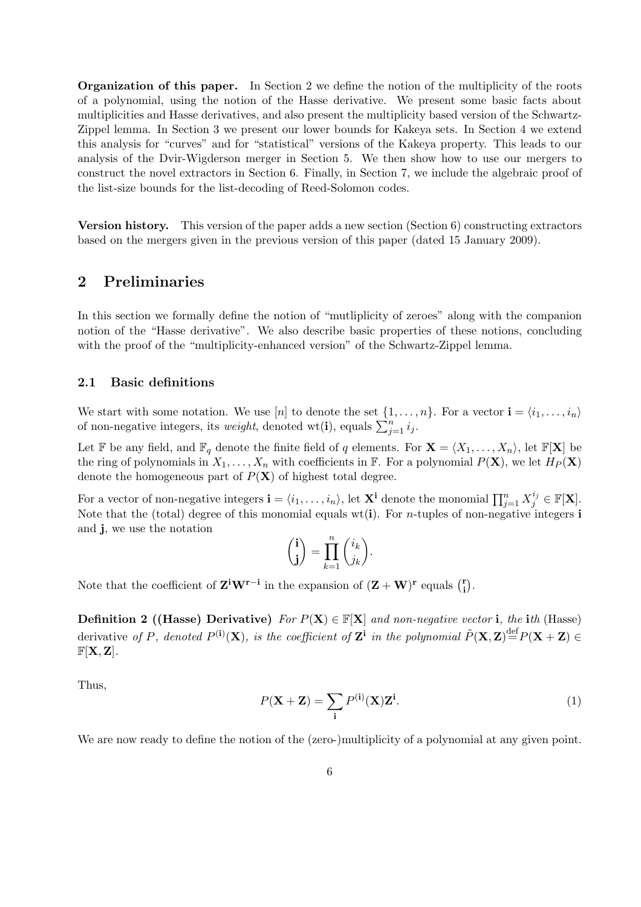Organization of this paper. In Section 2 we define the notion of the multiplicity of the roots of a polynomial, using the notion of the Hasse derivative. We present some basic facts about multiplicities and Hasse derivatives, and also present the multiplicity based version of the Schwartz-Zippel lemma. In Section 3 we present our lower bounds for Kakeya sets. In Section 4 we extend this analysis for "curves" and for "statistical" versions of the Kakeya property. This leads to our analysis of the Dvir-Wigderson merger in Section 5. We then show how to use our mergers to construct the novel extractors in Section 6. Finally, in Section 7, we include the algebraic proof of the list-size bounds for the list-decoding of Reed-Solomon codes.

Version history. This version of the paper adds a new section (Section 6) constructing extractors based on the mergers given in the previous version of this paper (dated 15 January 2009).

# 2 Preliminaries

In this section we formally define the notion of "mutliplicity of zeroes" along with the companion notion of the "Hasse derivative". We also describe basic properties of these notions, concluding with the proof of the "multiplicity-enhanced version" of the Schwartz-Zippel lemma.

### 2.1 Basic definitions

We start with some notation. We use [n] to denote the set  $\{1, \ldots, n\}$ . For a vector  $\mathbf{i} = \langle i_1, \ldots, i_n \rangle$ we start with some notation. We use  $[n]$  to denote the set  $\{1, \ldots,$ <br>of non-negative integers, its *weight*, denoted wt(**i**), equals  $\sum_{j=1}^{n} i_j$ .

Let F be any field, and  $\mathbb{F}_q$  denote the finite field of q elements. For  $\mathbf{X} = \langle X_1, \ldots, X_n \rangle$ , let  $\mathbb{F}[\mathbf{X}]$  be the ring of polynomials in  $X_1, \ldots, X_n$  with coefficients in F. For a polynomial  $P(\mathbf{X})$ , we let  $H_P(\mathbf{X})$ denote the homogeneous part of  $P(X)$  of highest total degree.

For a vector of non-negative integers  $\mathbf{i} = \langle i_1, \ldots, i_n \rangle$ , let  $\mathbf{X}^{\mathbf{i}}$  denote the monomial  $\prod_{j=1}^n X_j^{i_j} \in \mathbb{F}[\mathbf{X}]$ . Note that the (total) degree of this monomial equals wt(i). For *n*-tuples of non-negative integers i and j, we use the notation  $\overline{a}$  $\mathbf{r}$  $\overline{a}$  $\mathbf{r}$ 

$$
\binom{\mathbf{i}}{\mathbf{j}} = \prod_{k=1}^n \binom{i_k}{j_k}.
$$

Note that the coefficient of  $\mathbf{Z}^i \mathbf{W}^{r-i}$  in the expansion of  $(\mathbf{Z} + \mathbf{W})^r$  equals  $\binom{r}{i}$ i ¢ .

**Definition 2 ((Hasse) Derivative)** For  $P(X) \in \mathbb{F}[X]$  and non-negative vector i, the ith (Hasse) derivative of P, denoted  $P^{(i)}(\mathbf{X})$ , is the coefficient of  $\mathbf{Z}^i$  in the polynomial  $\tilde{P}(\mathbf{X},\mathbf{Z})\stackrel{\text{def}}{=}P(\mathbf{X}+\mathbf{Z})\in$  $F[X, Z]$ .

Thus,

$$
P(\mathbf{X} + \mathbf{Z}) = \sum_{\mathbf{i}} P^{(\mathbf{i})}(\mathbf{X}) \mathbf{Z}^{\mathbf{i}}.
$$
 (1)

We are now ready to define the notion of the (zero-)multiplicity of a polynomial at any given point.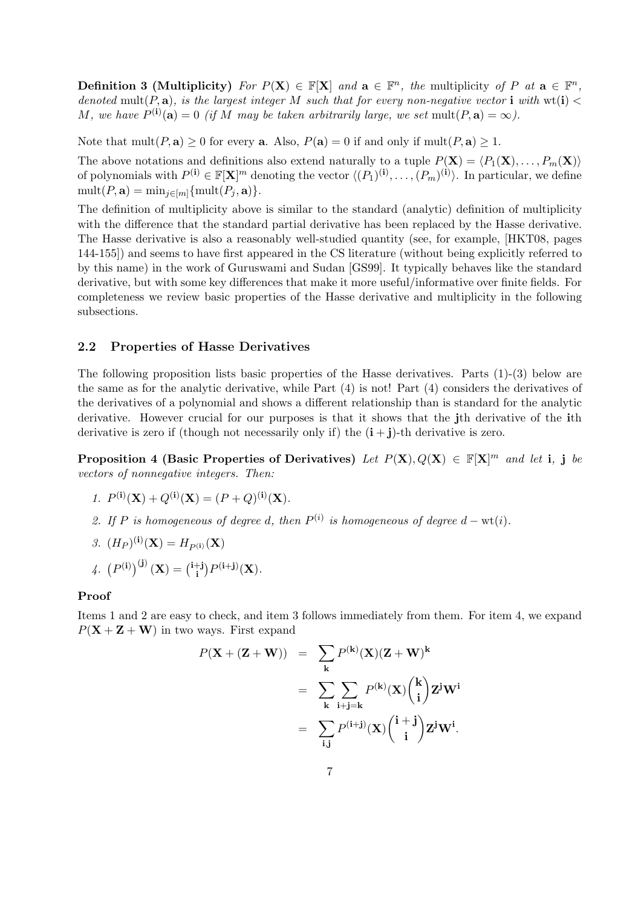**Definition 3 (Multiplicity)** For  $P(X) \in \mathbb{F}[X]$  and  $\mathbf{a} \in \mathbb{F}^n$ , the multiplicity of P at  $\mathbf{a} \in \mathbb{F}^n$ , denoted mult(P, a), is the largest integer M such that for every non-negative vector i with  $wt(i)$ M, we have  $P^{(i)}(a) = 0$  (if M may be taken arbitrarily large, we set mult $(P, a) = \infty$ ).

Note that  $mult(P, a) > 0$  for every a. Also,  $P(a) = 0$  if and only if  $mult(P, a) > 1$ .

The above notations and definitions also extend naturally to a tuple  $P(\mathbf{X}) = \langle P_1(\mathbf{X}), \ldots, P_m(\mathbf{X})\rangle$ of polynomials with  $P^{(i)} \in \mathbb{F}[\mathbf{X}]^m$  denoting the vector  $\langle (P_1)^{(i)}, \ldots, (P_m)^{(i)} \rangle$ . In particular, we define  $mult(P, \mathbf{a}) = min_{j \in [m]} \{mult(P_j, \mathbf{a})\}.$ 

The definition of multiplicity above is similar to the standard (analytic) definition of multiplicity with the difference that the standard partial derivative has been replaced by the Hasse derivative. The Hasse derivative is also a reasonably well-studied quantity (see, for example, [HKT08, pages 144-155]) and seems to have first appeared in the CS literature (without being explicitly referred to by this name) in the work of Guruswami and Sudan [GS99]. It typically behaves like the standard derivative, but with some key differences that make it more useful/informative over finite fields. For completeness we review basic properties of the Hasse derivative and multiplicity in the following subsections.

### 2.2 Properties of Hasse Derivatives

The following proposition lists basic properties of the Hasse derivatives. Parts (1)-(3) below are the same as for the analytic derivative, while Part (4) is not! Part (4) considers the derivatives of the derivatives of a polynomial and shows a different relationship than is standard for the analytic derivative. However crucial for our purposes is that it shows that the jth derivative of the ith derivative is zero if (though not necessarily only if) the  $(i + j)$ -th derivative is zero.

Proposition 4 (Basic Properties of Derivatives) Let  $P(X), Q(X) \in \mathbb{F}[X]^m$  and let i, j be vectors of nonnegative integers. Then:

- 1.  $P^{(i)}(\mathbf{X}) + Q^{(i)}(\mathbf{X}) = (P+Q)^{(i)}(\mathbf{X}).$
- 2. If P is homogeneous of degree d, then  $P^{(i)}$  is homogeneous of degree  $d \text{wt}(i)$ .
- 3.  $(H_P)^{(\mathbf{i})}(\mathbf{X}) = H_{P^{(\mathbf{i})}}(\mathbf{X})$

4. 
$$
(P^{(i)})^{(j)}(\mathbf{X}) = {^{i+j} \choose i} P^{(i+j)}(\mathbf{X}).
$$

#### Proof

Items 1 and 2 are easy to check, and item 3 follows immediately from them. For item 4, we expand  $P(X + Z + W)$  in two ways. First expand

$$
P(\mathbf{X} + (\mathbf{Z} + \mathbf{W})) = \sum_{\mathbf{k}} P^{(\mathbf{k})}(\mathbf{X})(\mathbf{Z} + \mathbf{W})^{\mathbf{k}}
$$
  
= 
$$
\sum_{\mathbf{k}} \sum_{\mathbf{i} + \mathbf{j} = \mathbf{k}} P^{(\mathbf{k})}(\mathbf{X}) {(\mathbf{k} \choose \mathbf{i}} \mathbf{Z}^{\mathbf{j}} \mathbf{W}^{\mathbf{i}}
$$
  
= 
$$
\sum_{\mathbf{i}, \mathbf{j}} P^{(\mathbf{i} + \mathbf{j})}(\mathbf{X}) {(\mathbf{i} + \mathbf{j} \choose \mathbf{i}} \mathbf{Z}^{\mathbf{j}} \mathbf{W}^{\mathbf{i}}.
$$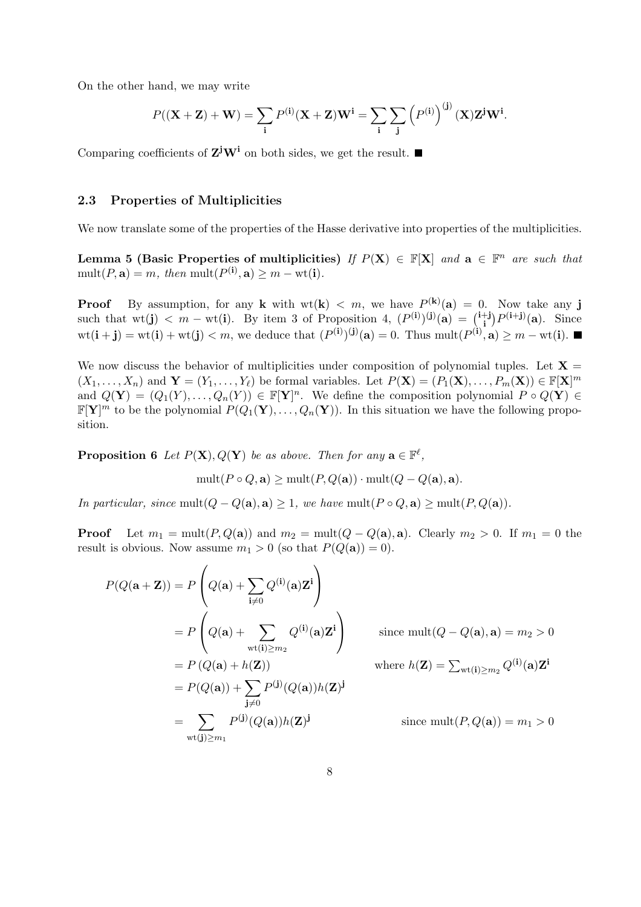On the other hand, we may write

$$
P((\mathbf{X} + \mathbf{Z}) + \mathbf{W}) = \sum_{\mathbf{i}} P^{(\mathbf{i})}(\mathbf{X} + \mathbf{Z})\mathbf{W}^{\mathbf{i}} = \sum_{\mathbf{i}} \sum_{\mathbf{j}} \left( P^{(\mathbf{i})} \right)^{(\mathbf{j})}(\mathbf{X})\mathbf{Z}^{\mathbf{j}}\mathbf{W}^{\mathbf{i}}.
$$

Comparing coefficients of  $Z^jW^i$  on both sides, we get the result.

### 2.3 Properties of Multiplicities

We now translate some of the properties of the Hasse derivative into properties of the multiplicities.

Lemma 5 (Basic Properties of multiplicities) If  $P(X) \in \mathbb{F}[X]$  and  $a \in \mathbb{F}^n$  are such that  $mult(P, \mathbf{a}) = m$ , then  $mult(P^{(\mathbf{i})}, \mathbf{a}) \geq m - wt(\mathbf{i}).$ 

**Proof** By assumption, for any **k** with  $wt(k) < m$ , we have  $P^{(k)}(a) = 0$ . Now take any **j Froot** by assumption, for any **K** with  $W(k) < m$ , we have  $F^{\vee}(a) = 0$ .<br>such that  $wt(j) < m - wt(i)$ . By item 3 of Proposition 4,  $(P^{(i)})^{(j)}(a) = {^{i+j}}$ .  $j^{\dagger}$  $P^{(\mathbf{i}+\mathbf{j})}(\mathbf{a})$ . Since  $\text{wt}(\mathbf{i} + \mathbf{j}) = \text{wt}(\mathbf{i}) + \text{wt}(\mathbf{j}) < m$ , we deduce that  $(P^{(\mathbf{i})})^{(\mathbf{j})}(\mathbf{a}) = 0$ . Thus  $\text{mult}(P^{(\mathbf{i})}, \mathbf{a}) \geq m - \text{wt}(\mathbf{i})$ .

We now discuss the behavior of multiplicities under composition of polynomial tuples. Let  $X =$  $(X_1, \ldots, X_n)$  and  $\mathbf{Y} = (Y_1, \ldots, Y_\ell)$  be formal variables. Let  $P(\mathbf{X}) = (P_1(\mathbf{X}), \ldots, P_m(\mathbf{X})) \in \mathbb{F}[\mathbf{X}]^m$ and  $Q(\mathbf{Y}) = (Q_1(Y), \ldots, Q_n(Y)) \in \mathbb{F}[\mathbf{Y}]^n$ . We define the composition polynomial  $P \circ Q(\mathbf{Y}) \in$  $\mathbb{F}[Y]^m$  to be the polynomial  $P(Q_1(Y), \ldots, Q_n(Y))$ . In this situation we have the following proposition.

**Proposition 6** Let  $P(X), Q(Y)$  be as above. Then for any  $\mathbf{a} \in \mathbb{F}^{\ell}$ ,

 $\overline{1}$ 

$$
\text{mult}(P \circ Q, \mathbf{a}) \ge \text{mult}(P, Q(\mathbf{a})) \cdot \text{mult}(Q - Q(\mathbf{a}), \mathbf{a}).
$$

In particular, since mult $(Q - Q(\mathbf{a}), \mathbf{a}) \geq 1$ , we have mult $(P \circ Q, \mathbf{a}) \geq \text{mult}(P, Q(\mathbf{a})).$ 

**Proof** Let  $m_1 = \text{mult}(P, Q(\mathbf{a}))$  and  $m_2 = \text{mult}(Q - Q(\mathbf{a}), \mathbf{a})$ . Clearly  $m_2 > 0$ . If  $m_1 = 0$  the result is obvious. Now assume  $m_1 > 0$  (so that  $P(Q(\mathbf{a})) = 0$ ).

 $\mathbf{r}$ 

$$
P(Q(\mathbf{a} + \mathbf{Z})) = P\left(Q(\mathbf{a}) + \sum_{\mathbf{i}\neq 0} Q^{(\mathbf{i})}(\mathbf{a})\mathbf{Z}^{\mathbf{i}}\right)
$$
  
\n
$$
= P\left(Q(\mathbf{a}) + \sum_{\text{wt}(\mathbf{i}) \geq m_2} Q^{(\mathbf{i})}(\mathbf{a})\mathbf{Z}^{\mathbf{i}}\right) \qquad \text{since } \text{mult}(Q - Q(\mathbf{a}), \mathbf{a}) = m_2 > 0
$$
  
\n
$$
= P(Q(\mathbf{a}) + h(\mathbf{Z})) \qquad \text{where } h(\mathbf{Z}) = \sum_{\text{wt}(\mathbf{i}) \geq m_2} Q^{(\mathbf{i})}(\mathbf{a})\mathbf{Z}^{\mathbf{i}}
$$
  
\n
$$
= P(Q(\mathbf{a})) + \sum_{\mathbf{j}\neq 0} P^{(\mathbf{j})}(Q(\mathbf{a}))h(\mathbf{Z})^{\mathbf{j}}
$$
  
\n
$$
= \sum_{\text{wt}(\mathbf{j}) \geq m_1} P^{(\mathbf{j})}(Q(\mathbf{a}))h(\mathbf{Z})^{\mathbf{j}} \qquad \text{since } \text{mult}(P, Q(\mathbf{a})) = m_1 > 0
$$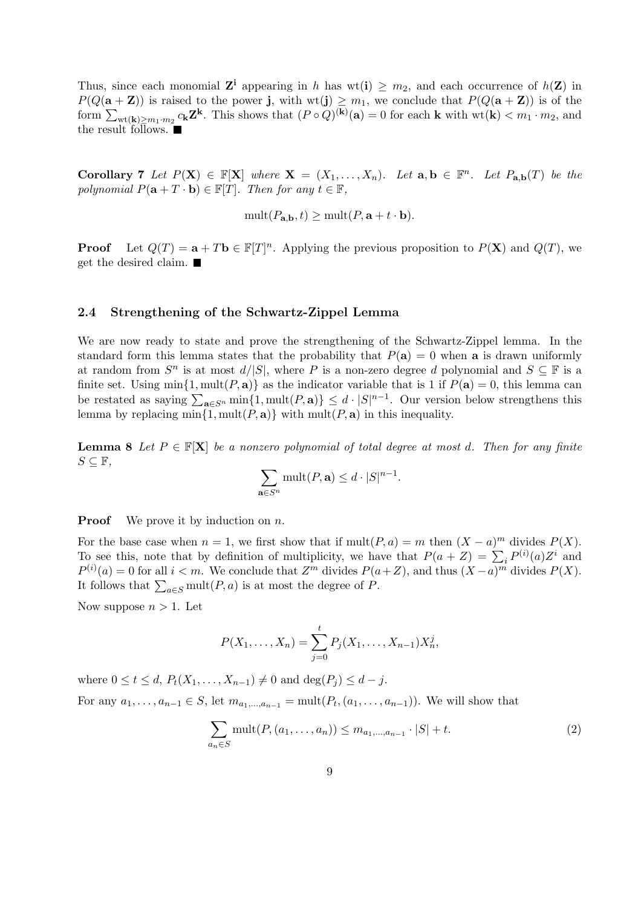Thus, since each monomial  $\mathbf{Z}^i$  appearing in h has wt(i)  $\geq m_2$ , and each occurrence of  $h(\mathbf{Z})$  in  $P(Q(\mathbf{a} + \mathbf{Z}))$  is raised to the power j, with  $wt(j) \geq m_1$ , we conclude that  $P(Q(\mathbf{a} + \mathbf{Z}))$  is of the  $F(Q(\mathbf{a}+\mathbf{z}))$  is raised to the power **j**, with  $W(\mathbf{J}) \geq m_1$ , we conclude that  $F(Q(\mathbf{a}+\mathbf{z}))$  is of the form  $\sum_{\text{wt}(\mathbf{k}) \geq m_1 \cdot m_2} c_{\mathbf{k}} \mathbf{Z}^{\mathbf{k}}$ . This shows that  $(P \circ Q)^{(\mathbf{k})}(\mathbf{a}) = 0$  for each **k** with the result follows.

**Corollary 7** Let  $P(X) \in \mathbb{F}[X]$  where  $X = (X_1, \ldots, X_n)$ . Let  $a, b \in \mathbb{F}^n$ . Let  $P_{a,b}(T)$  be the polynomial  $P(\mathbf{a} + T \cdot \mathbf{b}) \in \mathbb{F}[T]$ . Then for any  $t \in \mathbb{F}$ ,

$$
\text{mult}(P_{\mathbf{a},\mathbf{b}},t) \ge \text{mult}(P,\mathbf{a}+t\cdot\mathbf{b}).
$$

**Proof** Let  $Q(T) = \mathbf{a} + T\mathbf{b} \in \mathbb{F}[T]^n$ . Applying the previous proposition to  $P(\mathbf{X})$  and  $Q(T)$ , we get the desired claim.

#### 2.4 Strengthening of the Schwartz-Zippel Lemma

We are now ready to state and prove the strengthening of the Schwartz-Zippel lemma. In the standard form this lemma states that the probability that  $P(a) = 0$  when a is drawn uniformly at random from  $S^n$  is at most  $d/|S|$ , where P is a non-zero degree d polynomial and  $S \subseteq \mathbb{F}$  is a finite set. Using  $\min\{1, \text{mult}(P, \mathbf{a})\}$  as the indicator variable that is 1 if  $P(\mathbf{a}) = 0$ , this lemma can hinte set. Using  $\lim_{\mathbf{a}\in S^n} \min\{1, \text{mult}(P, \mathbf{a})\}$  as the indicator variable that is 1 if  $F(\mathbf{a}) = 0$ , this lemma can<br>be restated as saying  $\sum_{\mathbf{a}\in S^n} \min\{1, \text{mult}(P, \mathbf{a})\} \leq d \cdot |S|^{n-1}$ . Our version below strengt lemma by replacing  $\min\{1, \text{mult}(P, \mathbf{a})\}$  with  $\text{mult}(P, \mathbf{a})$  in this inequality.

**Lemma 8** Let  $P \in \mathbb{F}[\mathbf{X}]$  be a nonzero polynomial of total degree at most d. Then for any finite  $S \subseteq \mathbb{F}$ ,

$$
\sum_{\mathbf{a}\in S^n} \text{mult}(P,\mathbf{a}) \leq d \cdot |S|^{n-1}
$$

**Proof** We prove it by induction on  $n$ .

For the base case when  $n = 1$ , we first show that if  $mult(P, a) = m$  then  $(X - a)^m$  divides  $P(X)$ . For the base case when  $n = 1$ , we first show that if  $\text{multiplicity}$ ,  $a_j = m$  then  $(X - a_j)$  divides  $F(X)$ .<br>To see this, note that by definition of multiplicity, we have that  $P(a + Z) = \sum_i P^{(i)}(a)Z^i$  and  $P^{(i)}(a) = 0$  for all  $i < m$ . We conclude that  $Z^m$  divides  $P(a+Z)$ , and thus  $(X-a)^m$  divides  $P(X)$ . If  $\{u \in \mathbb{R}^n : \forall u \in \mathbb{R}^n : \mathbb{R}^n \leq \mathbb{R}^n : \forall u \in \mathbb{R}^n \leq \mathbb{R}^n \}$  at most the degree of P.

Now suppose  $n > 1$ . Let

$$
P(X_1, ..., X_n) = \sum_{j=0}^{t} P_j(X_1, ..., X_{n-1}) X_n^j,
$$

where  $0 \le t \le d$ ,  $P_t(X_1, \ldots, X_{n-1}) \ne 0$  and  $\deg(P_i) \le d - j$ . For any  $a_1, ..., a_{n-1} \in S$ , let  $m_{a_1,...,a_{n-1}} = \text{mult}(P_t, (a_1,..., a_{n-1}))$ . We will show that

$$
\sum_{a_n \in S} \text{mult}(P, (a_1, \dots, a_n)) \le m_{a_1, \dots, a_{n-1}} \cdot |S| + t. \tag{2}
$$

.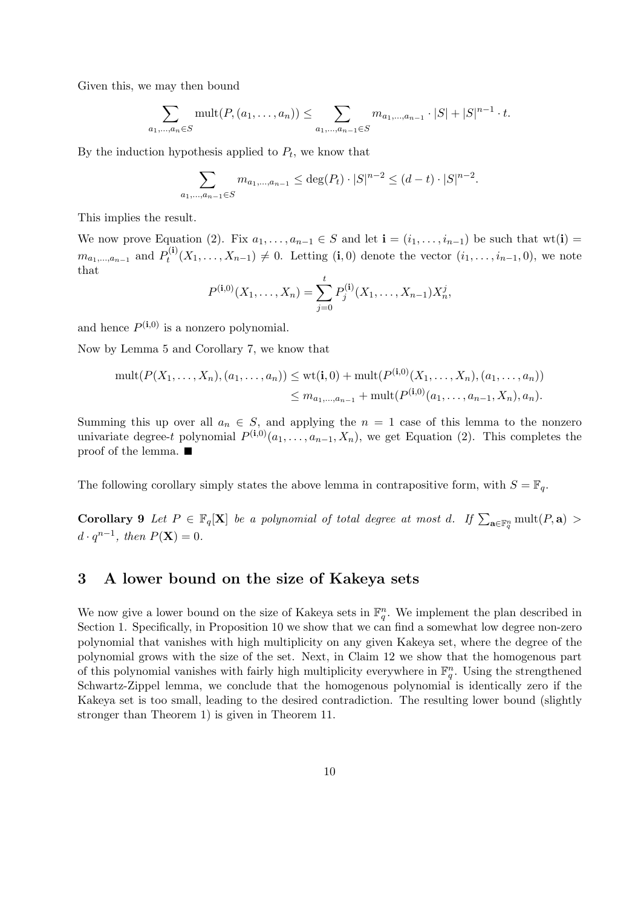Given this, we may then bound

$$
\sum_{a_1,\dots,a_n\in S} \text{mult}(P,(a_1,\dots,a_n)) \leq \sum_{a_1,\dots,a_{n-1}\in S} m_{a_1,\dots,a_{n-1}} \cdot |S| + |S|^{n-1} \cdot t.
$$

By the induction hypothesis applied to  $P_t$ , we know that

$$
\sum_{a_1,\dots,a_{n-1}\in S} m_{a_1,\dots,a_{n-1}} \leq \deg(P_t) \cdot |S|^{n-2} \leq (d-t) \cdot |S|^{n-2}.
$$

This implies the result.

We now prove Equation (2). Fix  $a_1, \ldots, a_{n-1} \in S$  and let  $\mathbf{i} = (i_1, \ldots, i_{n-1})$  be such that wt(i) =  $m_{a_1,...,a_{n-1}}$  and  $P_t^{(i)}$  $t^{(1)}(X_1,\ldots,X_{n-1})\neq 0$ . Letting  $(i,0)$  denote the vector  $(i_1,\ldots,i_{n-1},0)$ , we note that

$$
P^{(i,0)}(X_1,\ldots,X_n) = \sum_{j=0}^t P_j^{(i)}(X_1,\ldots,X_{n-1})X_n^j,
$$

and hence  $P^{(i,0)}$  is a nonzero polynomial.

Now by Lemma 5 and Corollary 7, we know that

$$
\text{mult}(P(X_1, \ldots, X_n), (a_1, \ldots, a_n)) \leq \text{wt}(\mathbf{i}, 0) + \text{mult}(P^{(\mathbf{i}, 0)}(X_1, \ldots, X_n), (a_1, \ldots, a_n))
$$
  

$$
\leq m_{a_1, \ldots, a_{n-1}} + \text{mult}(P^{(\mathbf{i}, 0)}(a_1, \ldots, a_{n-1}, X_n), a_n).
$$

Summing this up over all  $a_n \in S$ , and applying the  $n = 1$  case of this lemma to the nonzero univariate degree-t polynomial  $P^{(i,0)}(a_1,\ldots,a_{n-1},X_n)$ , we get Equation (2). This completes the proof of the lemma.

The following corollary simply states the above lemma in contrapositive form, with  $S = \mathbb{F}_q$ .

**Corollary 9** Let  $P \in \mathbb{F}_q[X]$  be a polynomial of total degree at most d. If  $\sum_{\mathbf{a} \in \mathbb{F}_q^n} \text{mult}(P, \mathbf{a}) >$  $d \cdot q^{n-1}$ , then  $P(\mathbf{X}) = 0$ .

# 3 A lower bound on the size of Kakeya sets

We now give a lower bound on the size of Kakeya sets in  $\mathbb{F}_q^n$ . We implement the plan described in Section 1. Specifically, in Proposition 10 we show that we can find a somewhat low degree non-zero polynomial that vanishes with high multiplicity on any given Kakeya set, where the degree of the polynomial grows with the size of the set. Next, in Claim 12 we show that the homogenous part of this polynomial vanishes with fairly high multiplicity everywhere in  $\mathbb{F}_q^n$ . Using the strengthened Schwartz-Zippel lemma, we conclude that the homogenous polynomial is identically zero if the Kakeya set is too small, leading to the desired contradiction. The resulting lower bound (slightly stronger than Theorem 1) is given in Theorem 11.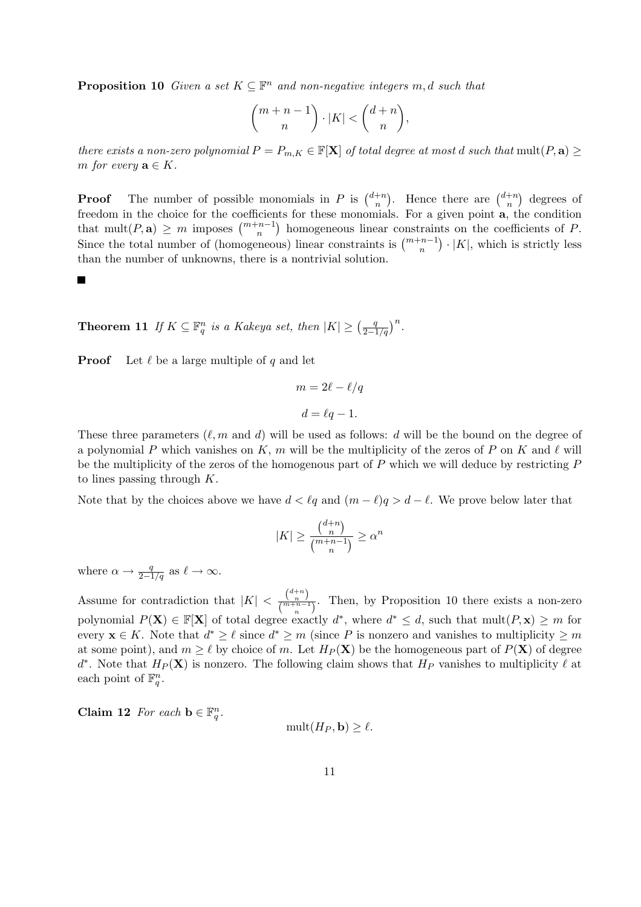**Proposition 10** Given a set  $K \subseteq \mathbb{F}^n$  and non-negative integers m, d such that

$$
\binom{m+n-1}{n}\cdot |K|<\binom{d+n}{n},
$$

there exists a non-zero polynomial  $P = P_{m,K} \in \mathbb{F}[\mathbf{X}]$  of total degree at most d such that mult $(P, \mathbf{a}) \geq$ m for every  $\mathbf{a} \in K$ .

**Proof** The number of possible monomials in P is  $\binom{d+n}{n}$ n ). Hence there are  $\binom{d+n}{n}$ n ¢ degrees of freedom in the choice for the coefficients for these monomials. For a given point **a**, the condition that mult(P, a)  $\geq m$  imposes  $\binom{m+n-1}{n}$  homogeneous linear constraints on the coefficients of P. Since the total number of (homogeneous) linear constraints is  $\binom{m+n-1}{n} \cdot |K|$ , which is strictly less than the number of unknowns, there is a nontrivial solution.

**Theorem 11** If  $K \subseteq \mathbb{F}_q^n$  is a Kakeya set, then  $|K| \geq \left(\frac{q}{2-1}\right)$  $2 - 1/q$  $\big)^n$ .

**Proof** Let  $\ell$  be a large multiple of q and let

$$
m = 2\ell - \ell/q
$$

$$
d = \ell q - 1.
$$

These three parameters  $(\ell, m \text{ and } d)$  will be used as follows: d will be the bound on the degree of a polynomial P which vanishes on K, m will be the multiplicity of the zeros of P on K and  $\ell$  will be the multiplicity of the zeros of the homogenous part of  $P$  which we will deduce by restricting  $P$ to lines passing through  $K$ .

Note that by the choices above we have  $d < \ell q$  and  $(m - \ell)q > d - \ell$ . We prove below later that

$$
|K| \ge \frac{\binom{d+n}{n}}{\binom{m+n-1}{n}} \ge \alpha^n
$$

where  $\alpha \to \frac{q}{2-1/q}$  as  $\ell \to \infty$ .

Assume for contradiction that  $|K| < \frac{\binom{d+n}{n}}{\binom{n}{m+n-1}}$  $\frac{\binom{n}{m+n-1}}{n}$ . Then, by Proposition 10 there exists a non-zero polynomial  $P(X) \in \mathbb{F}[X]$  of total degree exactly  $d^*$ , where  $d^* \leq d$ , such that  $mult(P, x) \geq m$  for every  $\mathbf{x} \in K$ . Note that  $d^* \geq \ell$  since  $d^* \geq m$  (since P is nonzero and vanishes to multiplicity  $\geq m$ at some point), and  $m \geq \ell$  by choice of m. Let  $H_P(\mathbf{X})$  be the homogeneous part of  $P(\mathbf{X})$  of degree d<sup>\*</sup>. Note that  $H_P(\mathbf{X})$  is nonzero. The following claim shows that  $H_P$  vanishes to multiplicity  $\ell$  at each point of  $\mathbb{F}_q^n$ .

Claim 12 For each  $\mathbf{b} \in \mathbb{F}_q^n$ .

$$
\text{mult}(H_P, \mathbf{b}) \ge \ell.
$$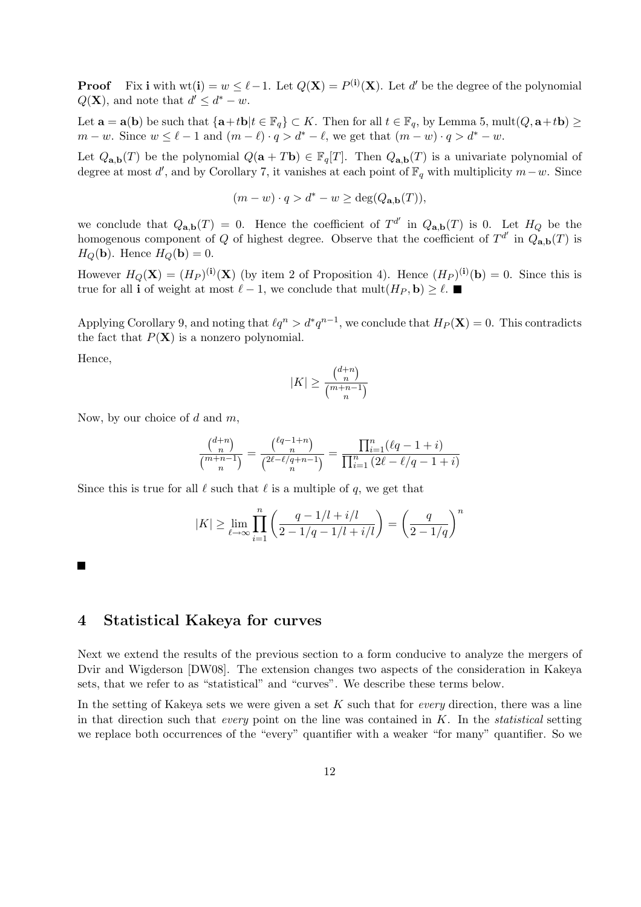**Proof** Fix i with  $wt(i) = w \leq \ell - 1$ . Let  $Q(X) = P^{(i)}(X)$ . Let d' be the degree of the polynomial  $Q(\mathbf{X})$ , and note that  $d' \leq d^* - w$ .

Let  $\mathbf{a} = \mathbf{a}(\mathbf{b})$  be such that  $\{\mathbf{a}+t\mathbf{b}|t \in \mathbb{F}_q\} \subset K$ . Then for all  $t \in \mathbb{F}_q$ , by Lemma 5, mult $(Q, \mathbf{a}+t\mathbf{b}) \ge$  $m - w$ . Since  $w \leq \ell - 1$  and  $(m - \ell) \cdot q > d^* - \ell$ , we get that  $(m - w) \cdot q > d^* - w$ .

Let  $Q_{\mathbf{a},\mathbf{b}}(T)$  be the polynomial  $Q(\mathbf{a} + T\mathbf{b}) \in \mathbb{F}_q[T]$ . Then  $Q_{\mathbf{a},\mathbf{b}}(T)$  is a univariate polynomial of degree at most d', and by Corollary 7, it vanishes at each point of  $\mathbb{F}_q$  with multiplicity  $m-w$ . Since

$$
(m - w) \cdot q > d^* - w \ge \deg(Q_{\mathbf{a},\mathbf{b}}(T)),
$$

we conclude that  $Q_{a,b}(T) = 0$ . Hence the coefficient of  $T^{d'}$  in  $Q_{a,b}(T)$  is 0. Let  $H_Q$  be the homogenous component of Q of highest degree. Observe that the coefficient of  $T^{d'}$  in  $Q_{\mathbf{a},\mathbf{b}}(T)$  is  $H_O(\mathbf{b})$ . Hence  $H_O(\mathbf{b}) = 0$ .

However  $H_Q(\mathbf{X}) = (H_P)^{(\mathbf{i})}(\mathbf{X})$  (by item 2 of Proposition 4). Hence  $(H_P)^{(\mathbf{i})}(\mathbf{b}) = 0$ . Since this is true for all **i** of weight at most  $\ell - 1$ , we conclude that mult $(H_P, \mathbf{b}) \geq \ell$ .

Applying Corollary 9, and noting that  $\ell q^n > d^*q^{n-1}$ , we conclude that  $H_P(\mathbf{X}) = 0$ . This contradicts the fact that  $P(X)$  is a nonzero polynomial.

Hence,

$$
|K| \ge \frac{\binom{d+n}{n}}{\binom{m+n-1}{n}}
$$

Now, by our choice of  $d$  and  $m$ ,

$$
\frac{\binom{d+n}{n}}{\binom{m+n-1}{n}}=\frac{\binom{\ell q-1+n}{n}}{\binom{2\ell-\ell/q+n-1}{n}}=\frac{\prod_{i=1}^n(\ell q-1+i)}{\prod_{i=1}^n\left(2\ell-\ell/q-1+i\right)}
$$

Since this is true for all  $\ell$  such that  $\ell$  is a multiple of q, we get that

$$
|K|\geq \lim_{\ell\to\infty}\prod_{i=1}^n\left(\frac{q-1/l+i/l}{2-1/q-1/l+i/l}\right)=\left(\frac{q}{2-1/q}\right)^n
$$

# 4 Statistical Kakeya for curves

Next we extend the results of the previous section to a form conducive to analyze the mergers of Dvir and Wigderson [DW08]. The extension changes two aspects of the consideration in Kakeya sets, that we refer to as "statistical" and "curves". We describe these terms below.

In the setting of Kakeya sets we were given a set K such that for *every* direction, there was a line in that direction such that *every* point on the line was contained in  $K$ . In the *statistical* setting we replace both occurrences of the "every" quantifier with a weaker "for many" quantifier. So we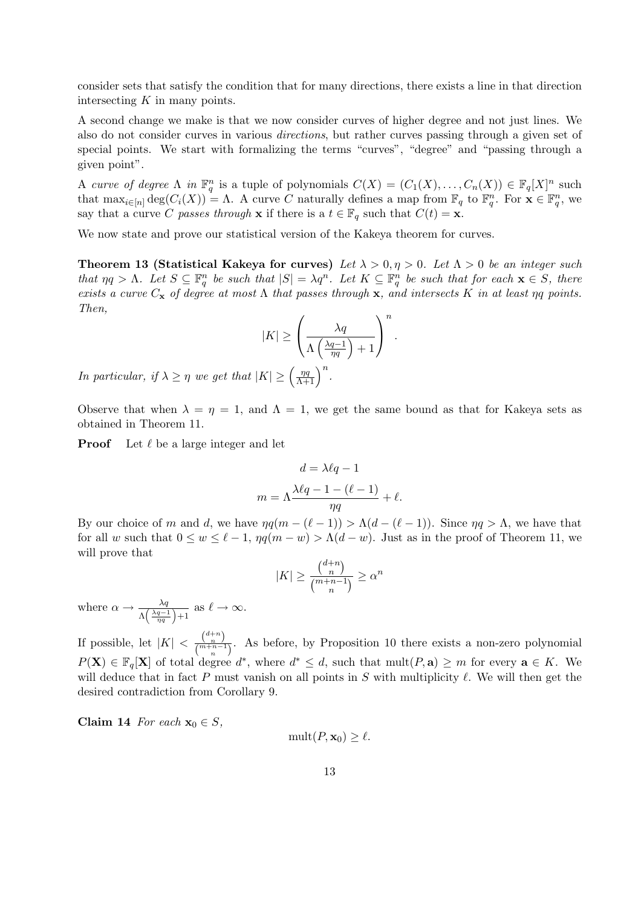consider sets that satisfy the condition that for many directions, there exists a line in that direction intersecting  $K$  in many points.

A second change we make is that we now consider curves of higher degree and not just lines. We also do not consider curves in various directions, but rather curves passing through a given set of special points. We start with formalizing the terms "curves", "degree" and "passing through a given point".

A curve of degree  $\Lambda$  in  $\mathbb{F}_q^n$  is a tuple of polynomials  $C(X) = (C_1(X), \ldots, C_n(X)) \in \mathbb{F}_q[X]^n$  such that  $\max_{i \in [n]} \deg(C_i(X)) = \Lambda$ . A curve C naturally defines a map from  $\mathbb{F}_q$  to  $\mathbb{F}_q^n$ . For  $\mathbf{x} \in \mathbb{F}_q^n$ , we say that a curve C passes through x if there is a  $t \in \mathbb{F}_q$  such that  $C(t) = \mathbf{x}$ .

We now state and prove our statistical version of the Kakeya theorem for curves.

Theorem 13 (Statistical Kakeya for curves) Let  $\lambda > 0, \eta > 0$ . Let  $\Lambda > 0$  be an integer such that  $\eta q > \Lambda$ . Let  $S \subseteq \mathbb{F}_q^n$  be such that  $|S| = \lambda q^n$ . Let  $K \subseteq \mathbb{F}_q^n$  be such that for each  $\mathbf{x} \in S$ , there exists a curve  $C_x$  of degree at most  $\Lambda$  that passes through x, and intersects K in at least  $\eta q$  points. Then,  $\overline{1}$  $\mathbf{r}$ 

$$
|K| \ge \left(\frac{\lambda q}{\Lambda \left(\frac{\lambda q - 1}{\eta q}\right) + 1}\right)^n
$$

.

In particular, if  $\lambda \geq \eta$  we get that  $|K| \geq \left(\frac{\eta q}{\lambda + 1}\right)$  $\frac{\eta q}{\Lambda+1}\right)^n$ .

Observe that when  $\lambda = \eta = 1$ , and  $\Lambda = 1$ , we get the same bound as that for Kakeya sets as obtained in Theorem 11.

**Proof** Let  $\ell$  be a large integer and let

$$
d = \lambda \ell q - 1
$$

$$
m = \Lambda \frac{\lambda \ell q - 1 - (\ell - 1)}{\eta q} + \ell.
$$

By our choice of m and d, we have  $\eta q(m - (\ell - 1)) > \Lambda (d - (\ell - 1))$ . Since  $\eta q > \Lambda$ , we have that for all w such that  $0 \le w \le \ell - 1$ ,  $\eta q(m - w) > \Lambda(d - w)$ . Just as in the proof of Theorem 11, we will prove that ¡ ¢

$$
|K| \ge \frac{\binom{d+n}{n}}{\binom{m+n-1}{n}} \ge \alpha^n
$$

where  $\alpha \rightarrow \frac{\lambda q}{\Lambda(\frac{\lambda q-1}{\lambda q})}$  $\frac{\lambda q}{\left(\frac{\lambda q-1}{\eta q}\right)+1}$  as  $\ell \to \infty$ .

If possible, let  $|K| < \frac{\binom{d+n}{n}}{\binom{m+n}{n}}$  $\frac{\binom{n}{m+n-1}}{n}$ . As before, by Proposition 10 there exists a non-zero polynomial  $P(X) \in \mathbb{F}_q[X]$  of total degree  $d^*$ , where  $d^* \leq d$ , such that  $mult(P, a) \geq m$  for every  $a \in K$ . We will deduce that in fact P must vanish on all points in S with multiplicity  $\ell$ . We will then get the desired contradiction from Corollary 9.

Claim 14 For each  $x_0 \in S$ ,

$$
\operatorname{mult}(P, \mathbf{x}_0) \ge \ell.
$$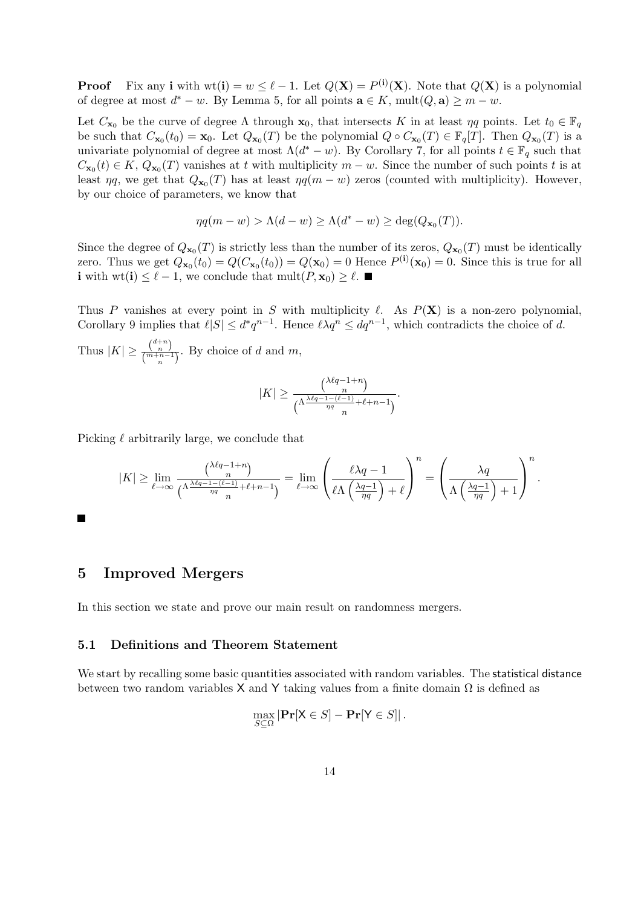**Proof** Fix any **i** with  $wt(i) = w \leq \ell - 1$ . Let  $Q(X) = P^{(i)}(X)$ . Note that  $Q(X)$  is a polynomial of degree at most  $d^* - w$ . By Lemma 5, for all points  $\mathbf{a} \in K$ , mult $(Q, \mathbf{a}) \geq m - w$ .

Let  $C_{\mathbf{x}_0}$  be the curve of degree  $\Lambda$  through  $\mathbf{x}_0$ , that intersects K in at least  $\eta q$  points. Let  $t_0 \in \mathbb{F}_q$ be such that  $C_{\mathbf{x}_0}(t_0) = \mathbf{x}_0$ . Let  $Q_{\mathbf{x}_0}(T)$  be the polynomial  $Q \circ C_{\mathbf{x}_0}(T) \in \mathbb{F}_q[T]$ . Then  $Q_{\mathbf{x}_0}(T)$  is a univariate polynomial of degree at most  $\Lambda(d^* - w)$ . By Corollary 7, for all points  $t \in \mathbb{F}_q$  such that  $C_{\mathbf{x}_0}(t) \in K$ ,  $Q_{\mathbf{x}_0}(T)$  vanishes at t with multiplicity  $m - w$ . Since the number of such points t is at least  $\eta q$ , we get that  $Q_{\mathbf{x}_0}(T)$  has at least  $\eta q(m-w)$  zeros (counted with multiplicity). However, by our choice of parameters, we know that

$$
\eta q(m - w) > \Lambda(d - w) \ge \Lambda(d^* - w) \ge \deg(Q_{\mathbf{x}_0}(T)).
$$

Since the degree of  $Q_{\mathbf{x}_0}(T)$  is strictly less than the number of its zeros,  $Q_{\mathbf{x}_0}(T)$  must be identically zero. Thus we get  $Q_{\mathbf{x}_0}(t_0) = Q(C_{\mathbf{x}_0}(t_0)) = Q(\mathbf{x}_0) = 0$  Hence  $P^{(\mathbf{i})}(\mathbf{x}_0) = 0$ . Since this is true for all **i** with wt(**i**) ≤  $\ell$  − 1, we conclude that mult(P, **x**<sub>0</sub>) ≥  $\ell$ . ■

Thus P vanishes at every point in S with multiplicity  $\ell$ . As  $P(X)$  is a non-zero polynomial, Corollary 9 implies that  $\ell |S| \leq d^* q^{n-1}$ . Hence  $\ell \lambda q^n \leq dq^{n-1}$ , which contradicts the choice of d.

Thus  $|K| \geq \frac{\binom{d+n}{n}}{\binom{m+n-1}{n}}$  $\frac{\binom{n}{n}}{\binom{m+n-1}{n}}$ . By choice of d and m,

$$
|K| \ge \frac{\binom{\lambda \ell q - 1 + n}{n}}{\binom{\Lambda \frac{\lambda \ell q - 1 - (\ell - 1)}{\eta q} + \ell + n - 1}{n}}.
$$

Picking  $\ell$  arbitrarily large, we conclude that

$$
|K| \geq \lim_{\ell \to \infty} \frac{\binom{\lambda \ell q - 1 + n}{n}}{\binom{\Lambda \frac{\lambda \ell q - 1 - (\ell - 1)}{\eta q} + \ell + n - 1}{n}} = \lim_{\ell \to \infty} \left( \frac{\ell \lambda q - 1}{\ell \Lambda \left( \frac{\lambda q - 1}{\eta q} \right) + \ell} \right)^n = \left( \frac{\lambda q}{\Lambda \left( \frac{\lambda q - 1}{\eta q} \right) + 1} \right)^n.
$$

# 5 Improved Mergers

 $\blacksquare$ 

In this section we state and prove our main result on randomness mergers.

### 5.1 Definitions and Theorem Statement

We start by recalling some basic quantities associated with random variables. The statistical distance between two random variables X and Y taking values from a finite domain  $\Omega$  is defined as

$$
\max_{S \subseteq \Omega} |\mathbf{Pr}[X \in S] - \mathbf{Pr}[Y \in S]|.
$$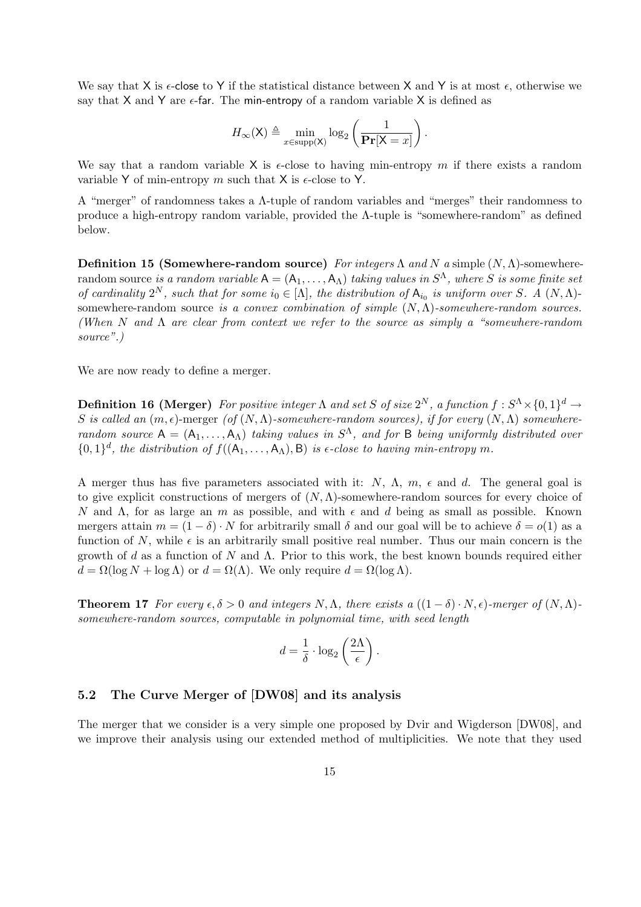We say that X is  $\epsilon$ -close to Y if the statistical distance between X and Y is at most  $\epsilon$ , otherwise we say that  $X$  and  $Y$  are  $\epsilon$ -far. The min-entropy of a random variable  $X$  is defined as

$$
H_{\infty}(\mathsf{X}) \triangleq \min_{x \in \text{supp}(\mathsf{X})} \log_2\left(\frac{1}{\mathbf{Pr}[\mathsf{X}=x]}\right).
$$

We say that a random variable X is  $\epsilon$ -close to having min-entropy m if there exists a random variable Y of min-entropy m such that X is  $\epsilon$ -close to Y.

A "merger" of randomness takes a Λ-tuple of random variables and "merges" their randomness to produce a high-entropy random variable, provided the Λ-tuple is "somewhere-random" as defined below.

Definition 15 (Somewhere-random source) For integers  $\Lambda$  and  $N$  a simple  $(N, \Lambda)$ -somewhere- $\mathsf{random\ source\ is\ a\ random\ variable\ A = (A_1, \ldots, A_\Lambda) \ taking\ values\ in\ S^\Lambda, \ where\ S\ is\ some\ finite\ set$ of cardinality  $2^N$ , such that for some  $i_0 \in [\Lambda]$ , the distribution of  $A_{i_0}$  is uniform over S. A  $(N, \Lambda)$ somewhere-random source is a convex combination of simple  $(N, \Lambda)$ -somewhere-random sources. (When N and  $\Lambda$  are clear from context we refer to the source as simply a "somewhere-random") source".)

We are now ready to define a merger.

**Definition 16 (Merger)** For positive integer  $\Lambda$  and set S of size  $2^N$ , a function  $f: S^{\Lambda}\times\{0,1\}^d \to$ S is called an  $(m, \epsilon)$ -merger (of  $(N, \Lambda)$ -somewhere-random sources), if for every  $(N, \Lambda)$  somewhererandom source  $A = (A_1, \ldots, A_\Lambda)$  taking values in  $S^{\Lambda}$ , and for B being uniformly distributed over  $\{0,1\}^d$ , the distribution of  $f((A_1,\ldots,A_\Lambda),B)$  is  $\epsilon$ -close to having min-entropy m.

A merger thus has five parameters associated with it:  $N$ ,  $\Lambda$ ,  $m$ ,  $\epsilon$  and d. The general goal is to give explicit constructions of mergers of  $(N, \Lambda)$ -somewhere-random sources for every choice of N and  $\Lambda$ , for as large an m as possible, and with  $\epsilon$  and d being as small as possible. Known mergers attain  $m = (1 - \delta) \cdot N$  for arbitrarily small  $\delta$  and our goal will be to achieve  $\delta = o(1)$  as a function of N, while  $\epsilon$  is an arbitrarily small positive real number. Thus our main concern is the growth of d as a function of N and  $\Lambda$ . Prior to this work, the best known bounds required either  $d = \Omega(\log N + \log \Lambda)$  or  $d = \Omega(\Lambda)$ . We only require  $d = \Omega(\log \Lambda)$ .

**Theorem 17** For every  $\epsilon, \delta > 0$  and integers N,  $\Lambda$ , there exists a  $((1 - \delta) \cdot N, \epsilon)$ -merger of  $(N, \Lambda)$ somewhere-random sources, computable in polynomial time, with seed length

$$
d = \frac{1}{\delta} \cdot \log_2 \left(\frac{2\Lambda}{\epsilon}\right).
$$

### 5.2 The Curve Merger of [DW08] and its analysis

The merger that we consider is a very simple one proposed by Dvir and Wigderson [DW08], and we improve their analysis using our extended method of multiplicities. We note that they used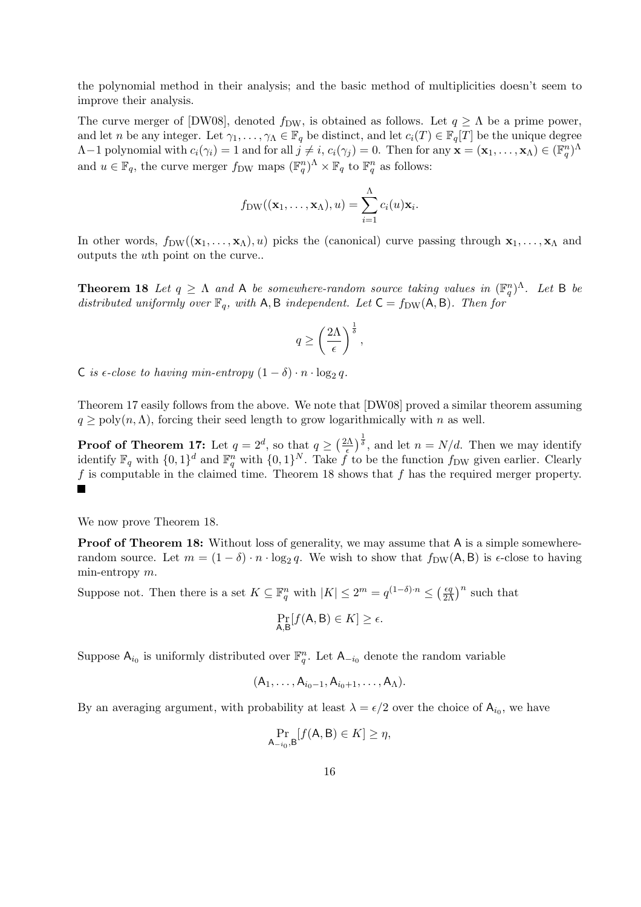the polynomial method in their analysis; and the basic method of multiplicities doesn't seem to improve their analysis.

The curve merger of  $[DW08]$ , denoted  $f_{DW}$ , is obtained as follows. Let  $q \ge \Lambda$  be a prime power, and let n be any integer. Let  $\gamma_1, \ldots, \gamma_\Lambda \in \mathbb{F}_q$  be distinct, and let  $c_i(T) \in \mathbb{F}_q[T]$  be the unique degree  $\Lambda-1$  polynomial with  $c_i(\gamma_i) = 1$  and for all  $j \neq i$ ,  $c_i(\gamma_j) = 0$ . Then for any  $\mathbf{x} = (\mathbf{x}_1, \ldots, \mathbf{x}_\Lambda) \in (\mathbb{F}_q^n)^\Lambda$ and  $u \in \mathbb{F}_q$ , the curve merger  $f_{DW}$  maps  $(\mathbb{F}_q^n)^{\Lambda} \times \mathbb{F}_q$  to  $\mathbb{F}_q^n$  as follows:

$$
f_{DW}((\mathbf{x}_1,\ldots,\mathbf{x}_\Lambda),u)=\sum_{i=1}^\Lambda c_i(u)\mathbf{x}_i.
$$

In other words,  $f_{DW}((\mathbf{x}_1,\ldots,\mathbf{x}_\Lambda),u)$  picks the (canonical) curve passing through  $\mathbf{x}_1,\ldots,\mathbf{x}_\Lambda$  and outputs the uth point on the curve..

**Theorem 18** Let  $q \geq \Lambda$  and A be somewhere-random source taking values in  $(\mathbb{F}_q^n)^{\Lambda}$ . Let B be distributed uniformly over  $\mathbb{F}_q$ , with A, B independent. Let  $C = f_{DW}(A, B)$ . Then for

$$
q \ge \left(\frac{2\Lambda}{\epsilon}\right)^{\frac{1}{\delta}},
$$

C is  $\epsilon$ -close to having min-entropy  $(1 - \delta) \cdot n \cdot \log_2 q$ .

Theorem 17 easily follows from the above. We note that [DW08] proved a similar theorem assuming  $q \geq \text{poly}(n,\Lambda)$ , forcing their seed length to grow logarithmically with n as well.

 $\sqrt{2\Lambda}$  $\int_{0}^{\frac{1}{\delta}}$ , and let  $n = N/d$ . Then we may identify **Proof of Theorem 17:** Let  $q = 2^d$ , so that  $q \ge 0$  $\overline{\epsilon}$ identify  $\mathbb{F}_q$  with  $\{0,1\}^d$  and  $\mathbb{F}_q^n$  with  $\{0,1\}^N$ . Take f to be the function f<sub>DW</sub> given earlier. Clearly f is computable in the claimed time. Theorem 18 shows that f has the required merger property.  $\blacksquare$ 

We now prove Theorem 18.

**Proof of Theorem 18:** Without loss of generality, we may assume that A is a simple somewhererandom source. Let  $m = (1 - \delta) \cdot n \cdot \log_2 q$ . We wish to show that  $f_{DW}(A, B)$  is  $\epsilon$ -close to having min-entropy m.

Suppose not. Then there is a set  $K \subseteq \mathbb{F}_q^n$  with  $|K| \leq 2^m = q^{(1-\delta)\cdot n} \leq \left(\frac{\epsilon q}{2\Lambda}\right)^n$  such that

$$
\Pr_{\mathsf{A},\mathsf{B}}[f(\mathsf{A},\mathsf{B})\in K]\geq\epsilon.
$$

Suppose  $A_{i_0}$  is uniformly distributed over  $\mathbb{F}_q^n$ . Let  $A_{-i_0}$  denote the random variable

$$
(A_1,\ldots,A_{i_0-1},A_{i_0+1},\ldots,A_{\Lambda}).
$$

By an averaging argument, with probability at least  $\lambda = \epsilon/2$  over the choice of  $A_{i_0}$ , we have

$$
\Pr_{\mathsf{A}_{-i_0},\mathsf{B}}[f(\mathsf{A},\mathsf{B})\in K]\geq \eta,
$$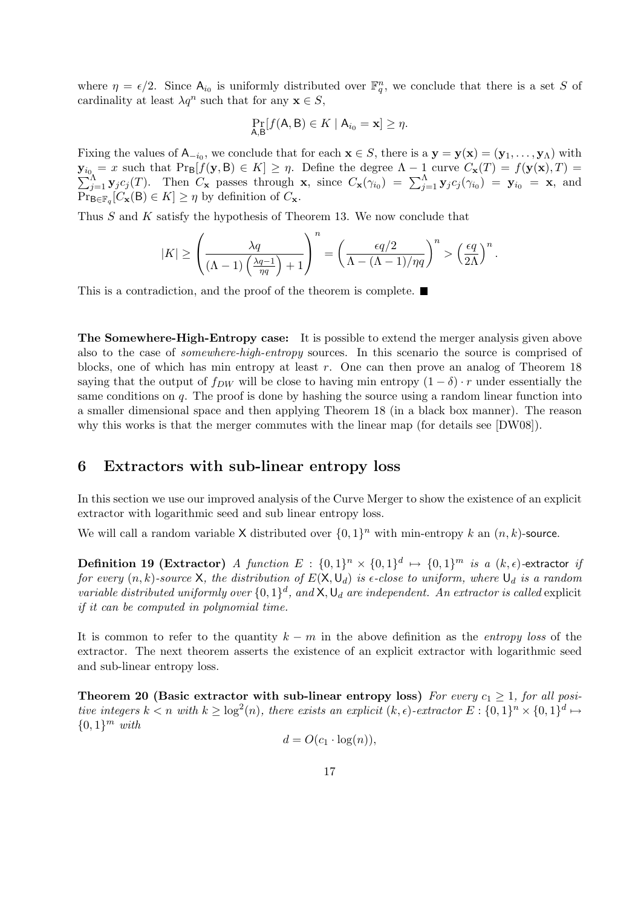where  $\eta = \epsilon/2$ . Since  $A_{i_0}$  is uniformly distributed over  $\mathbb{F}_q^n$ , we conclude that there is a set S of cardinality at least  $\lambda q^n$  such that for any  $\mathbf{x} \in S$ ,

$$
\Pr_{A,B}[f(A,B)\in K \mid A_{i_0}=\mathbf{x}]\geq \eta.
$$

Fixing the values of  $A_{-i_0}$ , we conclude that for each  $\mathbf{x} \in S$ , there is a  $\mathbf{y} = \mathbf{y}(\mathbf{x}) = (\mathbf{y}_1, \dots, \mathbf{y}_\Lambda)$  with  $\mathbf{y}_{i_0} = x$  such that  $\Pr[\mathbf{y}(\mathbf{y}, \mathbf{B}) \in K] \geq \eta$ . Define the degree  $\Lambda - 1$  curve  $C_{\mathbf{x}}(T) = f(\mathbf{y}(\mathbf{x}), T) = \sum_{j=1}^{\Lambda} \mathbf{y}_j c_j(T)$ . Then  $C_{\mathbf{x}}$  passes through  $\mathbf{x}$ , since  $C_{\mathbf{x}}(\gamma_{i_0}) = \sum_{j=1}^{\Lambda} \mathbf{y}_j$  $\Pr_{\mathsf{B}\in\mathbb{F}_q}[C_{\mathbf{x}}(\mathsf{B})\in K]\geq\eta$  by definition of  $C_{\mathbf{x}}$ .

Thus S and K satisfy the hypothesis of Theorem 13. We now conclude that

$$
|K| \ge \left(\frac{\lambda q}{(\Lambda - 1)\left(\frac{\lambda q - 1}{\eta q}\right) + 1}\right)^n = \left(\frac{\epsilon q/2}{\Lambda - (\Lambda - 1)/\eta q}\right)^n > \left(\frac{\epsilon q}{2\Lambda}\right)^n.
$$

This is a contradiction, and the proof of the theorem is complete.

The Somewhere-High-Entropy case: It is possible to extend the merger analysis given above also to the case of somewhere-high-entropy sources. In this scenario the source is comprised of blocks, one of which has min entropy at least  $r$ . One can then prove an analog of Theorem 18 saying that the output of  $f_{DW}$  will be close to having min entropy  $(1 - \delta) \cdot r$  under essentially the same conditions on  $q$ . The proof is done by hashing the source using a random linear function into a smaller dimensional space and then applying Theorem 18 (in a black box manner). The reason why this works is that the merger commutes with the linear map (for details see [DW08]).

# 6 Extractors with sub-linear entropy loss

In this section we use our improved analysis of the Curve Merger to show the existence of an explicit extractor with logarithmic seed and sub linear entropy loss.

We will call a random variable X distributed over  $\{0,1\}^n$  with min-entropy k an  $(n, k)$ -source.

**Definition 19 (Extractor)** A function  $E: \{0,1\}^n \times \{0,1\}^d \mapsto \{0,1\}^m$  is a  $(k,\epsilon)$ -extractor if for every  $(n, k)$ -source X, the distribution of  $E(X, \mathsf{U}_d)$  is  $\epsilon$ -close to uniform, where  $\mathsf{U}_d$  is a random variable distributed uniformly over  $\{0,1\}^d$ , and  $\mathsf{X}, \mathsf{U}_d$  are independent. An extractor is called explicit if it can be computed in polynomial time.

It is common to refer to the quantity  $k - m$  in the above definition as the *entropy loss* of the extractor. The next theorem asserts the existence of an explicit extractor with logarithmic seed and sub-linear entropy loss.

Theorem 20 (Basic extractor with sub-linear entropy loss) For every  $c_1 \geq 1$ , for all positive integers  $k < n$  with  $k \geq \log^2(n)$ , there exists an explicit  $(k, \epsilon)$ -extractor  $E: \{0,1\}^n \times \{0,1\}^d \mapsto$  $\{0,1\}^m$  with

$$
d = O(c_1 \cdot \log(n)),
$$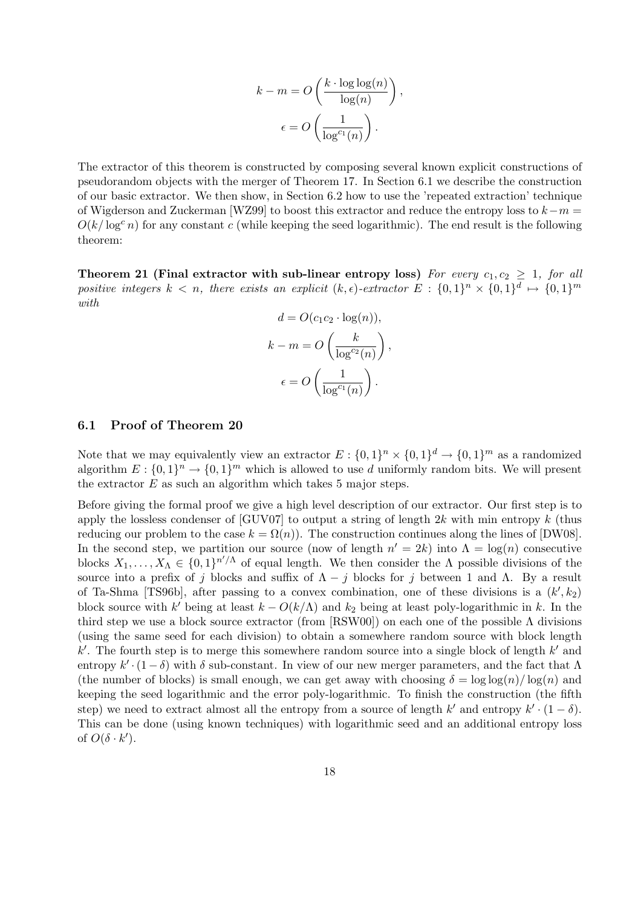$$
k - m = O\left(\frac{k \cdot \log \log(n)}{\log(n)}\right),\
$$

$$
\epsilon = O\left(\frac{1}{\log^{c_1}(n)}\right).
$$

The extractor of this theorem is constructed by composing several known explicit constructions of pseudorandom objects with the merger of Theorem 17. In Section 6.1 we describe the construction of our basic extractor. We then show, in Section 6.2 how to use the 'repeated extraction' technique of Wigderson and Zuckerman [WZ99] to boost this extractor and reduce the entropy loss to  $k-m =$  $O(k/\log^c n)$  for any constant c (while keeping the seed logarithmic). The end result is the following theorem:

Theorem 21 (Final extractor with sub-linear entropy loss) For every  $c_1, c_2 \geq 1$ , for all positive integers  $k < n$ , there exists an explicit  $(k, \epsilon)$ -extractor  $E : \{0,1\}^n \times \{0,1\}^d \mapsto \{0,1\}^m$ with

$$
d = O(c_1c_2 \cdot \log(n)),
$$
  

$$
k - m = O\left(\frac{k}{\log^{c_2}(n)}\right),
$$
  

$$
\epsilon = O\left(\frac{1}{\log^{c_1}(n)}\right).
$$

#### 6.1 Proof of Theorem 20

Note that we may equivalently view an extractor  $E: \{0,1\}^n \times \{0,1\}^d \to \{0,1\}^m$  as a randomized algorithm  $E: \{0,1\}^n \to \{0,1\}^m$  which is allowed to use d uniformly random bits. We will present the extractor  $E$  as such an algorithm which takes 5 major steps.

Before giving the formal proof we give a high level description of our extractor. Our first step is to apply the lossless condenser of  $GUV07$  to output a string of length 2k with min entropy k (thus reducing our problem to the case  $k = \Omega(n)$ ). The construction continues along the lines of [DW08]. In the second step, we partition our source (now of length  $n' = 2k$ ) into  $\Lambda = \log(n)$  consecutive blocks  $X_1, \ldots, X_\Lambda \in \{0,1\}^{n'/\Lambda}$  of equal length. We then consider the  $\Lambda$  possible divisions of the source into a prefix of j blocks and suffix of  $\Lambda - j$  blocks for j between 1 and  $\Lambda$ . By a result of Ta-Shma [TS96b], after passing to a convex combination, one of these divisions is a  $(k', k_2)$ block source with k' being at least  $k - O(k/\Lambda)$  and  $k_2$  being at least poly-logarithmic in k. In the third step we use a block source extractor (from [RSW00]) on each one of the possible  $\Lambda$  divisions (using the same seed for each division) to obtain a somewhere random source with block length  $k'$ . The fourth step is to merge this somewhere random source into a single block of length  $k'$  and entropy  $k' \cdot (1 - \delta)$  with  $\delta$  sub-constant. In view of our new merger parameters, and the fact that  $\Lambda$ (the number of blocks) is small enough, we can get away with choosing  $\delta = \log \log(n) / \log(n)$  and keeping the seed logarithmic and the error poly-logarithmic. To finish the construction (the fifth step) we need to extract almost all the entropy from a source of length k' and entropy  $k' \cdot (1 - \delta)$ . This can be done (using known techniques) with logarithmic seed and an additional entropy loss of  $O(\delta \cdot k')$ .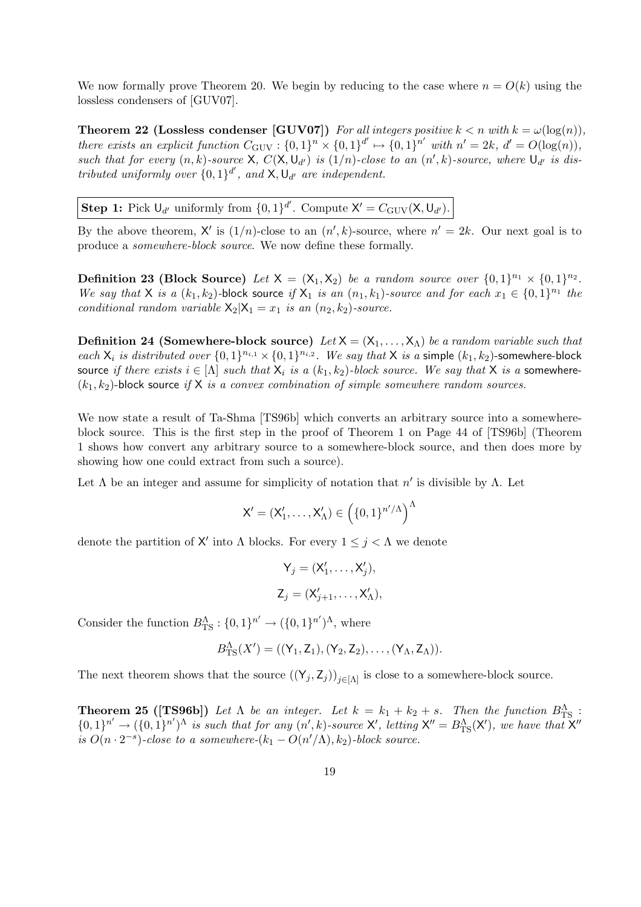We now formally prove Theorem 20. We begin by reducing to the case where  $n = O(k)$  using the lossless condensers of [GUV07].

**Theorem 22 (Lossless condenser [GUV07])** For all integers positive  $k < n$  with  $k = \omega(\log(n))$ , there exists an explicit function  $C_{\text{GUV}}: \{0,1\}^n \times \{0,1\}^{d'} \mapsto \{0,1\}^{n'}$  with  $n' = 2k$ ,  $d' = O(\log(n)),$ such that for every  $(n, k)$ -source X,  $C(X, \mathsf{U}_{d'})$  is  $(1/n)$ -close to an  $(n', k)$ -source, where  $\mathsf{U}_{d'}$  is distributed uniformly over  $\{0,1\}^{d'}$ , and  $\lambda$ ,  $\mathsf{U}_{d'}$  are independent.

**Step 1:** Pick  $U_{d'}$  uniformly from  $\{0, 1\}^{d'}$ . Compute  $X' = C_{\text{GUV}}(X, U_{d'})$ .

By the above theorem, X' is  $(1/n)$ -close to an  $(n', k)$ -source, where  $n' = 2k$ . Our next goal is to produce a somewhere-block source. We now define these formally.

**Definition 23 (Block Source)** Let  $X = (X_1, X_2)$  be a random source over  $\{0, 1\}^{n_1} \times \{0, 1\}^{n_2}$ . We say that X is a  $(k_1, k_2)$ -block source if  $X_1$  is an  $(n_1, k_1)$ -source and for each  $x_1 \in \{0, 1\}^{n_1}$  the conditional random variable  $X_2|X_1 = x_1$  is an  $(n_2, k_2)$ -source.

**Definition 24 (Somewhere-block source)** Let  $X = (X_1, ..., X_\Lambda)$  be a random variable such that each  $X_i$  is distributed over  $\{0,1\}^{n_{i,1}} \times \{0,1\}^{n_{i,2}}$ . We say that X is a simple  $(k_1, k_2)$ -somewhere-block source if there exists  $i \in [\Lambda]$  such that  $X_i$  is a  $(k_1, k_2)$ -block source. We say that X is a somewhere- $(k_1, k_2)$ -block source if X is a convex combination of simple somewhere random sources.

We now state a result of Ta-Shma [TS96b] which converts an arbitrary source into a somewhereblock source. This is the first step in the proof of Theorem 1 on Page 44 of [TS96b] (Theorem 1 shows how convert any arbitrary source to a somewhere-block source, and then does more by showing how one could extract from such a source).

Let  $\Lambda$  be an integer and assume for simplicity of notation that  $n'$  is divisible by  $\Lambda$ . Let

$$
\mathsf{X}'=(\mathsf{X}'_1,\ldots,\mathsf{X}'_\Lambda)\in\left(\{0,1\}^{n'/\Lambda}\right)^\Lambda
$$

denote the partition of X' into  $\Lambda$  blocks. For every  $1 \leq j < \Lambda$  we denote

$$
\mathsf{Y}_j = (\mathsf{X}'_1, \dots, \mathsf{X}'_j),
$$
  

$$
\mathsf{Z}_j = (\mathsf{X}'_{j+1}, \dots, \mathsf{X}'_{\Lambda}),
$$

Consider the function  $B_{\text{TS}}^{\Lambda}: \{0,1\}^{n'} \to (\{0,1\}^{n'})^{\Lambda}$ , where

$$
B_{\rm TS}^{\Lambda}(X') = ((Y_1, Z_1), (Y_2, Z_2), \ldots, (Y_{\Lambda}, Z_{\Lambda})).
$$

The next theorem shows that the source  $((Y_j, Z_j))_{j\in[\Lambda]}$  is close to a somewhere-block source.

**Theorem 25 ([TS96b])** Let  $\Lambda$  be an integer. Let  $k = k_1 + k_2 + s$ . Then the function  $B_{\text{TS}}^{\Lambda}$ :  $\{0,1\}^{n'} \to (\{0,1\}^{n'})^{\Lambda}$  is such that for any  $(n',k)$ -source X', letting  $X'' = B_{\text{TS}}^{\Lambda}(X')$ , we have that  $X''$ is  $O(n \cdot 2^{-s})$ -close to a somewhere- $(k_1 - O(n'/\Lambda), k_2)$ -block source.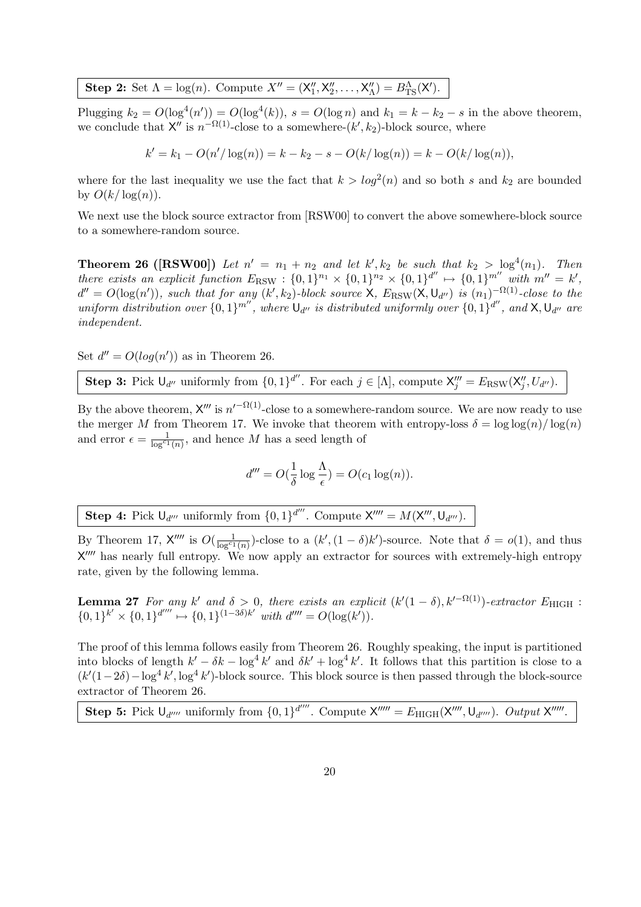Step 2: Set  $\Lambda = \log(n)$ . Compute  $X'' = (X''_1, X''_2, \ldots, X''_{\Lambda}) = B_{\text{TS}}^{\Lambda}(X')$ .

Plugging  $k_2 = O(\log^4(n')) = O(\log^4(k))$ ,  $s = O(\log n)$  and  $k_1 = k - k_2 - s$  in the above theorem, we conclude that  $X''$  is  $n^{-\Omega(1)}$ -close to a somewhere- $(k', k_2)$ -block source, where

$$
k' = k_1 - O(n'/\log(n)) = k - k_2 - s - O(k/\log(n)) = k - O(k/\log(n)),
$$

where for the last inequality we use the fact that  $k > log<sup>2</sup>(n)$  and so both s and  $k<sub>2</sub>$  are bounded by  $O(k/\log(n))$ .

We next use the block source extractor from [RSW00] to convert the above somewhere-block source to a somewhere-random source.

**Theorem 26** ([RSW00]) Let  $n' = n_1 + n_2$  and let  $k', k_2$  be such that  $k_2 > \log^4(n_1)$ . Then there exists an explicit function  $E_{\text{RSW}}: \{0,1\}^{n_1} \times \{0,1\}^{n_2} \times \{0,1\}^{d''} \mapsto \{0,1\}^{m''}$  with  $m'' = k'$ ,  $d'' = O(\log(n'))$ , such that for any  $(k', k_2)$ -block source  $\mathsf{X}$ ,  $E_{\text{RSW}}(\mathsf{X}, \mathsf{U}_{d''})$  is  $(n_1)^{-\Omega(1)}$ -close to the uniform distribution over  $\{0,1\}^{m''}$ , where  $\bigcup_{d''}$  is distributed uniformly over  $\{0,1\}^{d''}$ , and  $X, \bigcup_{d''}$  are independent.

Set  $d'' = O(log(n'))$  as in Theorem 26.

Step 3: Pick  $\bigcup_{d''}$  uniformly from  $\{0,1\}^{d''}$ . For each  $j \in [\Lambda]$ , compute  $X'''_j = E_{\text{RSW}}(X''_j, U_{d''})$ .

By the above theorem,  $X'''$  is  $n'^{-\Omega(1)}$ -close to a somewhere-random source. We are now ready to use the merger M from Theorem 17. We invoke that theorem with entropy-loss  $\delta = \log \log(n) / \log(n)$ and error  $\epsilon = \frac{1}{\log^{c_1}(n)}$ , and hence M has a seed length of

$$
d''' = O(\frac{1}{\delta} \log \frac{\Lambda}{\epsilon}) = O(c_1 \log(n)).
$$

**Step 4:** Pick  $U_{d'''}$  uniformly from  $\{0, 1\}^{d'''}$ . Compute  $X''' = M(X''', U_{d'''})$ .

By Theorem 17,  $X''''$  is  $O(\frac{1}{\log^{c_1}(n)})$ -close to a  $(k', (1 - \delta)k')$ -source. Note that  $\delta = o(1)$ , and thus  $X^{\prime\prime\prime\prime}$  has nearly full entropy. We now apply an extractor for sources with extremely-high entropy rate, given by the following lemma.

**Lemma 27** For any k' and  $\delta > 0$ , there exists an explicit  $(k'(1 - \delta), k'^{-\Omega(1)})$ -extractor  $E_{\text{HIGH}}$ :  $\{0,1\}^{k'} \times \{0,1\}^{d''''} \mapsto \{0,1\}^{(1-3\delta)k'}$  with  $d'''' = O(\log(k')).$ 

The proof of this lemma follows easily from Theorem 26. Roughly speaking, the input is partitioned into blocks of length  $k' - \delta k - \log^4 k'$  and  $\delta k' + \log^4 k'$ . It follows that this partition is close to a  $(k'(1-2\delta)-\log^4 k',\log^4 k')$ -block source. This block source is then passed through the block-source extractor of Theorem 26.

Step 5: Pick  $U_{d''''}$  uniformly from  $\{0,1\}^{d''''}$ . Compute  $X'''' = E_{\text{HIGH}}(X''', U_{d''''})$ . Output  $X''''$ .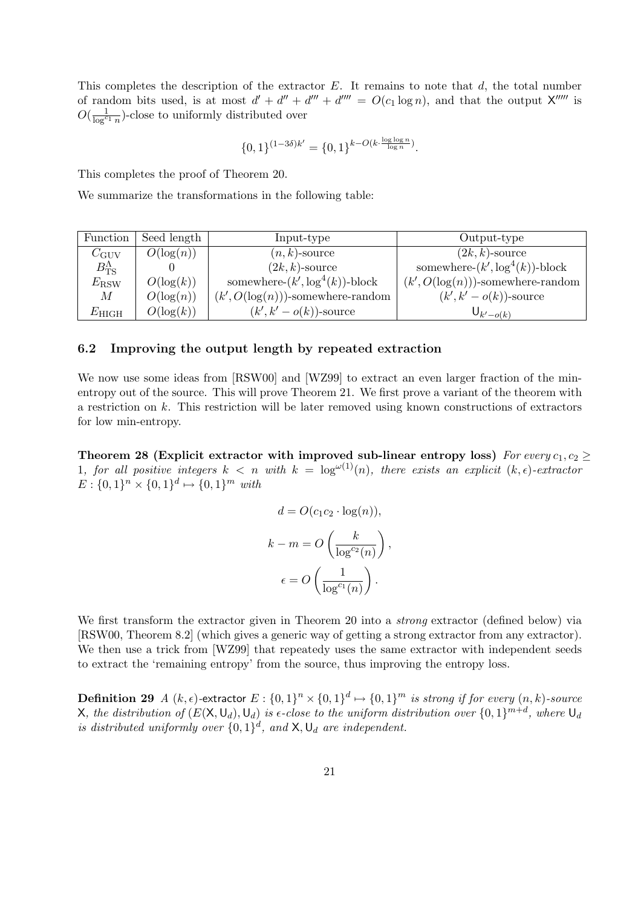This completes the description of the extractor  $E$ . It remains to note that  $d$ , the total number of random bits used, is at most  $d' + d'' + d''' + d'''' = O(c_1 \log n)$ , and that the output X<sup>not</sup> is  $O(\frac{1}{\log^{c_1} n})$ -close to uniformly distributed over

$$
\{0,1\}^{(1-3\delta)k'} = \{0,1\}^{k-O(k \cdot \frac{\log \log n}{\log n})}.
$$

This completes the proof of Theorem 20.

We summarize the transformations in the following table:

| Function               | Seed length  | Input-type                           | Output-type                          |
|------------------------|--------------|--------------------------------------|--------------------------------------|
| $C_{\rm GUV}$          | $O(\log(n))$ | $(n,k)$ -source                      | $(2k, k)$ -source                    |
| $B_{\rm TS}^{\Lambda}$ |              | $(2k, k)$ -source                    | somewhere- $(k', \log^4(k))$ -block  |
| $E_{\rm RSW}$          | $O(\log(k))$ | somewhere- $(k', \log^4(k))$ -block  | $(k', O(\log(n)))$ -somewhere-random |
| М                      | $O(\log(n))$ | $(k', O(\log(n)))$ -somewhere-random | $(k', k' - o(k))$ -source            |
| $E_{\rm HIGH}$         | $O(\log(k))$ | $(k', k' - o(k))$ -source            | $\bigcup_{k' - o(k)}$                |

## 6.2 Improving the output length by repeated extraction

We now use some ideas from  $[RSW00]$  and  $[WZ99]$  to extract an even larger fraction of the minentropy out of the source. This will prove Theorem 21. We first prove a variant of the theorem with a restriction on k. This restriction will be later removed using known constructions of extractors for low min-entropy.

Theorem 28 (Explicit extractor with improved sub-linear entropy loss) For every  $c_1, c_2 \geq$ 1, for all positive integers  $k < n$  with  $k = \log^{\omega(1)}(n)$ , there exists an explicit  $(k, \epsilon)$ -extractor  $E: \{0,1\}^n \times \{0,1\}^d \mapsto \{0,1\}^m$  with

$$
d = O(c_1 c_2 \cdot \log(n)),
$$
  

$$
k - m = O\left(\frac{k}{\log^{c_2}(n)}\right),
$$
  

$$
\epsilon = O\left(\frac{1}{\log^{c_1}(n)}\right).
$$

We first transform the extractor given in Theorem 20 into a *strong* extractor (defined below) via [RSW00, Theorem 8.2] (which gives a generic way of getting a strong extractor from any extractor). We then use a trick from [WZ99] that repeatedy uses the same extractor with independent seeds to extract the 'remaining entropy' from the source, thus improving the entropy loss.

**Definition 29** A  $(k, \epsilon)$ -extractor  $E: \{0, 1\}^n \times \{0, 1\}^d \mapsto \{0, 1\}^m$  is strong if for every  $(n, k)$ -source  $X$ , the distribution of  $(E(X, \mathsf{U}_d), \mathsf{U}_d)$  is  $\epsilon$ -close to the uniform distribution over  $\{0,1\}^{m+d}$ , where  $\mathsf{U}_d$ is distributed uniformly over  $\{0,1\}^d$ , and  $\mathsf{X}, \mathsf{U}_d$  are independent.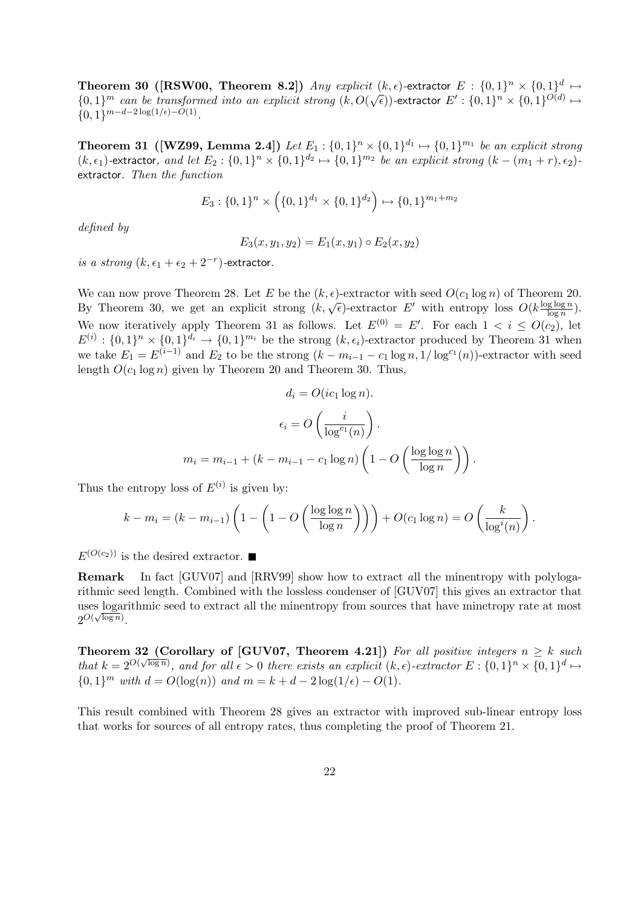**Theorem 30 ([RSW00, Theorem 8.2])** Any explicit  $(k, \epsilon)$ -extractor  $E : \{0, 1\}^n \times \{0, 1\}^d \mapsto$  $\{0,1\}^m$  can be transformed into an explicit strong  $(k, O(\sqrt{\epsilon}))$ -extractor  $E': \{0,1\}^n \times \{0,1\}^{O(d)} \mapsto$  ${0,1}^{m-d-2\log(1/\epsilon)-O(1)}$ .

**Theorem 31 ([WZ99, Lemma 2.4])** Let  $E_1: \{0,1\}^n \times \{0,1\}^{d_1} \mapsto \{0,1\}^{m_1}$  be an explicit strong  $(k, \epsilon_1)$ -extractor, and let  $E_2: \{0,1\}^n \times \{0,1\}^{d_2} \mapsto \{0,1\}^{m_2}$  be an explicit strong  $(k - (m_1 + r), \epsilon_2)$ extractor. Then the function

$$
E_3: \{0,1\}^n \times \left(\{0,1\}^{d_1} \times \{0,1\}^{d_2}\right) \mapsto \{0,1\}^{m_1+m_2}
$$

defined by

$$
E_3(x, y_1, y_2) = E_1(x, y_1) \circ E_2(x, y_2)
$$

is a strong  $(k, \epsilon_1 + \epsilon_2 + 2^{-r})$ -extractor.

We can now prove Theorem 28. Let E be the  $(k, \epsilon)$ -extractor with seed  $O(c_1 \log n)$  of Theorem 20. We can now prove Theorem 28. Let E be the  $(\kappa, \epsilon)$ -extractor with seed  $O(c_1 \log n)$  or Theorem 2<br>By Theorem 30, we get an explicit strong  $(k, \sqrt{\epsilon})$ -extractor E' with entropy loss  $O(k \frac{\log \log n}{\log n})$  $\frac{\log \log n}{\log n}$ ). We now iteratively apply Theorem 31 as follows. Let  $E^{(0)} = E'$ . For each  $1 \lt i \leq O(c_2)$ , let  $E^{(i)}: \{0,1\}^n \times \{0,1\}^{d_i} \to \{0,1\}^{m_i}$  be the strong  $(k, \epsilon_i)$ -extractor produced by Theorem 31 when we take  $E_1 = E^{(i-1)}$  and  $E_2$  to be the strong  $(k - m_{i-1} - c_1 \log n, 1/\log^{c_1}(n))$ -extractor with seed length  $O(c_1 \log n)$  given by Theorem 20 and Theorem 30. Thus,

$$
d_i = O(ic_1 \log n).
$$

$$
\epsilon_i = O\left(\frac{i}{\log^{c_1}(n)}\right).
$$

$$
m_i = m_{i-1} + (k - m_{i-1} - c_1 \log n) \left(1 - O\left(\frac{\log \log n}{\log n}\right)\right).
$$

Thus the entropy loss of  $E^{(i)}$  is given by:

$$
k - m_i = (k - m_{i-1}) \left( 1 - \left( 1 - O\left( \frac{\log \log n}{\log n} \right) \right) \right) + O(c_1 \log n) = O\left( \frac{k}{\log^i(n)} \right).
$$

 $E^{(O(c_2))}$  is the desired extractor.

Remark In fact [GUV07] and [RRV99] show how to extract all the minentropy with polylogarithmic seed length. Combined with the lossless condenser of [GUV07] this gives an extractor that uses logarithmic seed to extract all the minentropy from sources that have minetropy rate at most  $2^{O(\sqrt{\log n})}.$ 

Theorem 32 (Corollary of [GUV07, Theorem 4.21]) For all positive integers  $n \geq k$  such that  $k = 2^{O(\sqrt{\log n})}$ , and for all  $\epsilon > 0$  there exists an explicit  $(k, \epsilon)$ -extractor  $E: \{0,1\}^n \times \{0,1\}^d \mapsto$  ${0, 1}^m$  with  $d = O(\log(n))$  and  $m = k + d - 2\log(1/\epsilon) - O(1)$ .

This result combined with Theorem 28 gives an extractor with improved sub-linear entropy loss that works for sources of all entropy rates, thus completing the proof of Theorem 21.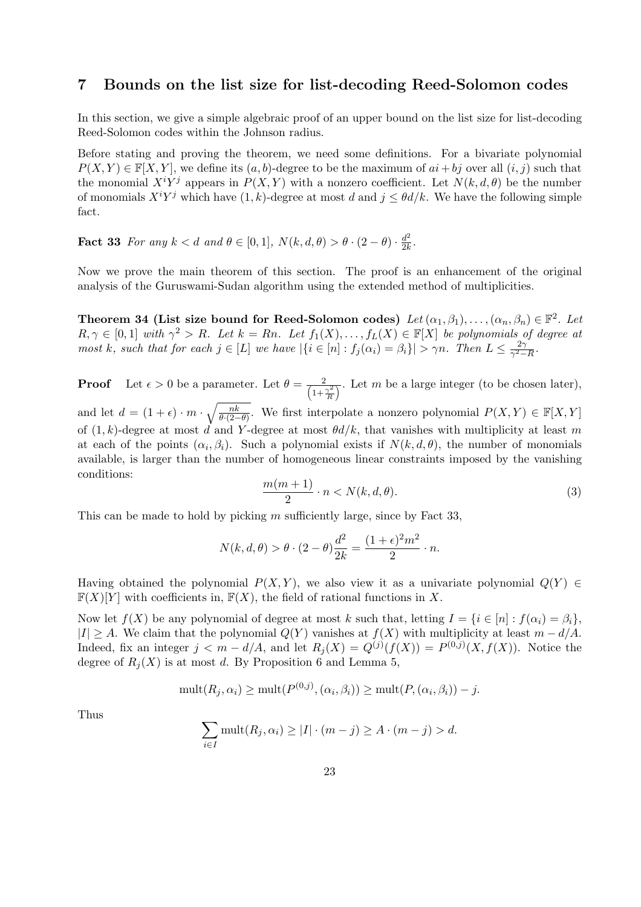# 7 Bounds on the list size for list-decoding Reed-Solomon codes

In this section, we give a simple algebraic proof of an upper bound on the list size for list-decoding Reed-Solomon codes within the Johnson radius.

Before stating and proving the theorem, we need some definitions. For a bivariate polynomial  $P(X, Y) \in \mathbb{F}[X, Y]$ , we define its  $(a, b)$ -degree to be the maximum of  $ai + bj$  over all  $(i, j)$  such that the monomial  $X^{i}Y^{j}$  appears in  $P(X, Y)$  with a nonzero coefficient. Let  $N(k, d, \theta)$  be the number of monomials  $X^i Y^j$  which have  $(1, k)$ -degree at most d and  $j \leq \theta d/k$ . We have the following simple fact.

**Fact 33** For any  $k < d$  and  $\theta \in [0, 1]$ ,  $N(k, d, \theta) > \theta \cdot (2 - \theta) \cdot \frac{d^2}{2k}$  $rac{d^2}{2k}$ .

Now we prove the main theorem of this section. The proof is an enhancement of the original analysis of the Guruswami-Sudan algorithm using the extended method of multiplicities.

Theorem 34 (List size bound for Reed-Solomon codes)  $Let (\alpha_1, \beta_1), \ldots, (\alpha_n, \beta_n) \in \mathbb{F}^2$ . Let  $R, \gamma \in [0,1]$  with  $\gamma^2 > R$ . Let  $k = Rn$ . Let  $f_1(X), \ldots, f_L(X) \in \mathbb{F}[X]$  be polynomials of degree at most k, such that for each  $j \in [L]$  we have  $|\{i \in [n]: f_j(\alpha_i) = \beta_i\}| > \gamma n$ . Then  $L \leq \frac{2\gamma}{\gamma^2 - 1}$  $\frac{2\gamma}{\gamma^2-R}$  .

**Proof** Let  $\epsilon > 0$  be a parameter. Let  $\theta = \frac{2}{\left(1 + \frac{\gamma^2}{R}\right)}$  $\overline{\phantom{a}}$ . Let m be a large integer (to be chosen later), and let  $d = (1 + \epsilon) \cdot m \cdot \sqrt{\frac{nk}{\theta(1 - \epsilon)}}$  $\frac{nk}{\theta\cdot(2-\theta)}$ . We first interpolate a nonzero polynomial  $P(X,Y) \in \mathbb{F}[X,Y]$ of  $(1, k)$ -degree at most d and Y-degree at most  $\theta d/k$ , that vanishes with multiplicity at least m at each of the points  $(\alpha_i, \beta_i)$ . Such a polynomial exists if  $N(k, d, \theta)$ , the number of monomials available, is larger than the number of homogeneous linear constraints imposed by the vanishing conditions:

$$
\frac{m(m+1)}{2} \cdot n < N(k, d, \theta). \tag{3}
$$

This can be made to hold by picking  $m$  sufficiently large, since by Fact 33,

$$
N(k,d,\theta) > \theta \cdot (2-\theta) \frac{d^2}{2k} = \frac{(1+\epsilon)^2 m^2}{2} \cdot n.
$$

Having obtained the polynomial  $P(X, Y)$ , we also view it as a univariate polynomial  $Q(Y) \in$  $\mathbb{F}(X)[Y]$  with coefficients in,  $\mathbb{F}(X)$ , the field of rational functions in X.

Now let  $f(X)$  be any polynomial of degree at most k such that, letting  $I = \{i \in [n] : f(\alpha_i) = \beta_i\}$ ,  $|I| \geq A$ . We claim that the polynomial  $Q(Y)$  vanishes at  $f(X)$  with multiplicity at least  $m - d/A$ . Indeed, fix an integer  $j < m - d/A$ , and let  $R_j(X) = Q^{(j)}(f(X)) = P^{(0,j)}(X, f(X))$ . Notice the degree of  $R_j(X)$  is at most d. By Proposition 6 and Lemma 5,

$$
\text{mult}(R_j, \alpha_i) \ge \text{mult}(P^{(0,j)}, (\alpha_i, \beta_i)) \ge \text{mult}(P, (\alpha_i, \beta_i)) - j.
$$

Thus

$$
\sum_{i \in I} \text{mult}(R_j, \alpha_i) \ge |I| \cdot (m - j) \ge A \cdot (m - j) > d.
$$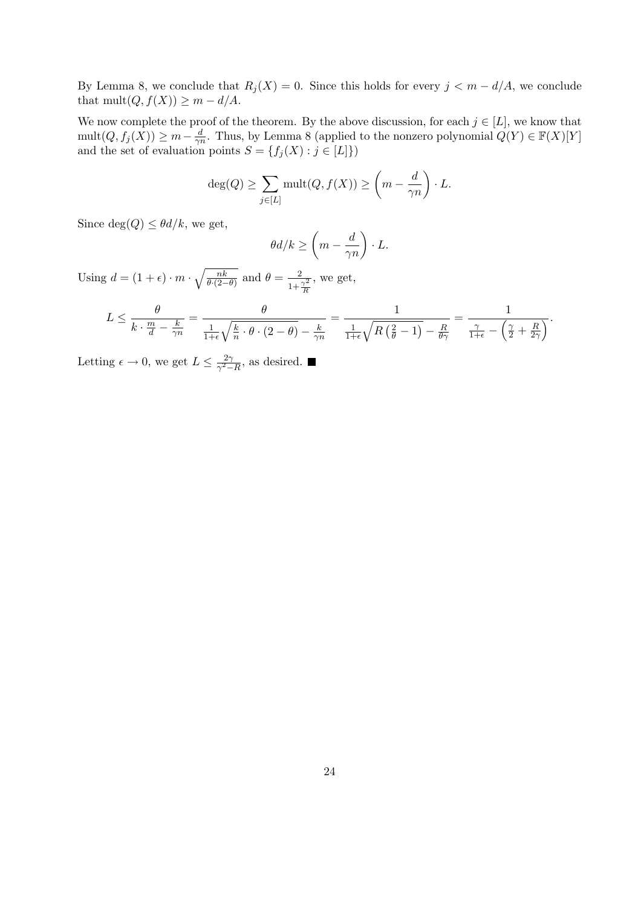By Lemma 8, we conclude that  $R_j(X) = 0$ . Since this holds for every  $j < m - d/A$ , we conclude that mult $(Q, f(X)) \geq m - d/A$ .

We now complete the proof of the theorem. By the above discussion, for each  $j \in [L]$ , we know that  $mult(Q, f_j(X)) \geq m - \frac{d}{2n}$  $\frac{d}{\gamma n}$ . Thus, by Lemma 8 (applied to the nonzero polynomial  $Q(Y) \in \mathbb{F}(X)[Y]$ and the set of evaluation points  $S = \{f_j(X) : j \in [L]\}\$ 

$$
\deg(Q) \ge \sum_{j \in [L]} \text{mult}(Q, f(X)) \ge \left(m - \frac{d}{\gamma n}\right) \cdot L.
$$

Since  $deg(Q) \leq \theta d/k$ , we get,

$$
\theta d/k \ge \left(m - \frac{d}{\gamma n}\right) \cdot L.
$$

Using  $d = (1 + \epsilon) \cdot m \cdot \sqrt{\frac{nk}{\theta(2)}}$  $\frac{nk}{\theta \cdot (2-\theta)}$  and  $\theta = \frac{2}{1+\frac{\gamma^2}{R}}$ , we get,

$$
L \leq \frac{\theta}{k \cdot \frac{m}{d} - \frac{k}{\gamma n}} = \frac{\theta}{\frac{1}{1+\epsilon}\sqrt{\frac{k}{n} \cdot \theta \cdot (2-\theta)} - \frac{k}{\gamma n}} = \frac{1}{\frac{1}{1+\epsilon}\sqrt{R\left(\frac{2}{\theta}-1\right)} - \frac{R}{\theta \gamma}} = \frac{1}{\frac{\gamma}{1+\epsilon} - \left(\frac{\gamma}{2} + \frac{R}{2\gamma}\right)}.
$$

Letting  $\epsilon \to 0$ , we get  $L \leq \frac{2\gamma}{\gamma^2}$  $\frac{2\gamma}{\gamma^2-R}$ , as desired.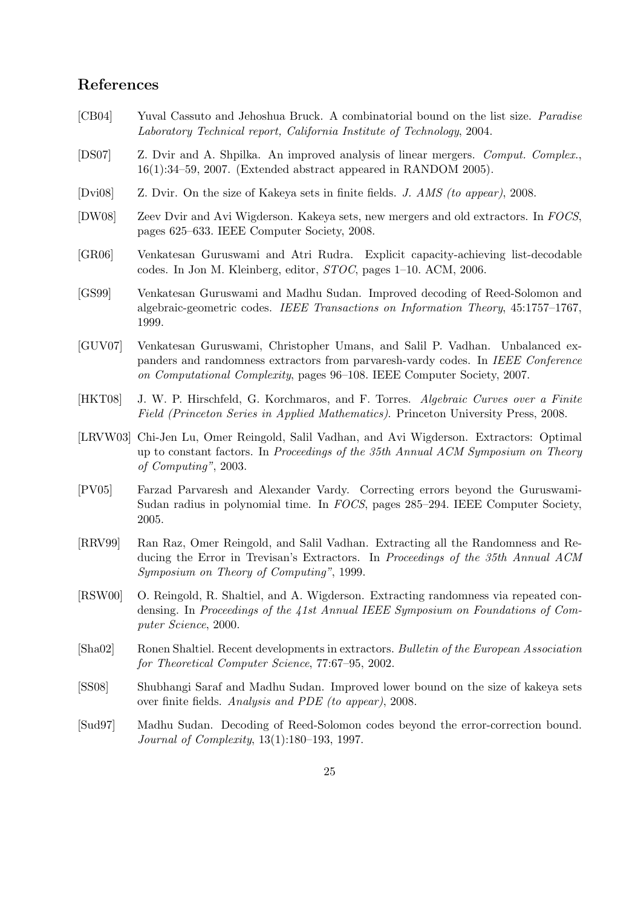# References

- [CB04] Yuval Cassuto and Jehoshua Bruck. A combinatorial bound on the list size. Paradise Laboratory Technical report, California Institute of Technology, 2004.
- [DS07] Z. Dvir and A. Shpilka. An improved analysis of linear mergers. Comput. Complex., 16(1):34–59, 2007. (Extended abstract appeared in RANDOM 2005).
- [Dvi08] Z. Dvir. On the size of Kakeya sets in finite fields. J. AMS (to appear), 2008.
- [DW08] Zeev Dvir and Avi Wigderson. Kakeya sets, new mergers and old extractors. In FOCS, pages 625–633. IEEE Computer Society, 2008.
- [GR06] Venkatesan Guruswami and Atri Rudra. Explicit capacity-achieving list-decodable codes. In Jon M. Kleinberg, editor, STOC, pages 1–10. ACM, 2006.
- [GS99] Venkatesan Guruswami and Madhu Sudan. Improved decoding of Reed-Solomon and algebraic-geometric codes. IEEE Transactions on Information Theory, 45:1757–1767, 1999.
- [GUV07] Venkatesan Guruswami, Christopher Umans, and Salil P. Vadhan. Unbalanced expanders and randomness extractors from parvaresh-vardy codes. In IEEE Conference on Computational Complexity, pages 96–108. IEEE Computer Society, 2007.
- [HKT08] J. W. P. Hirschfeld, G. Korchmaros, and F. Torres. Algebraic Curves over a Finite Field (Princeton Series in Applied Mathematics). Princeton University Press, 2008.
- [LRVW03] Chi-Jen Lu, Omer Reingold, Salil Vadhan, and Avi Wigderson. Extractors: Optimal up to constant factors. In Proceedings of the 35th Annual ACM Symposium on Theory of Computing", 2003.
- [PV05] Farzad Parvaresh and Alexander Vardy. Correcting errors beyond the Guruswami-Sudan radius in polynomial time. In FOCS, pages 285–294. IEEE Computer Society, 2005.
- [RRV99] Ran Raz, Omer Reingold, and Salil Vadhan. Extracting all the Randomness and Reducing the Error in Trevisan's Extractors. In Proceedings of the 35th Annual ACM Symposium on Theory of Computing", 1999.
- [RSW00] O. Reingold, R. Shaltiel, and A. Wigderson. Extracting randomness via repeated condensing. In Proceedings of the 41st Annual IEEE Symposium on Foundations of Computer Science, 2000.
- [Sha02] Ronen Shaltiel. Recent developments in extractors. Bulletin of the European Association for Theoretical Computer Science, 77:67–95, 2002.
- [SS08] Shubhangi Saraf and Madhu Sudan. Improved lower bound on the size of kakeya sets over finite fields. Analysis and PDE (to appear), 2008.
- [Sud97] Madhu Sudan. Decoding of Reed-Solomon codes beyond the error-correction bound. Journal of Complexity, 13(1):180–193, 1997.